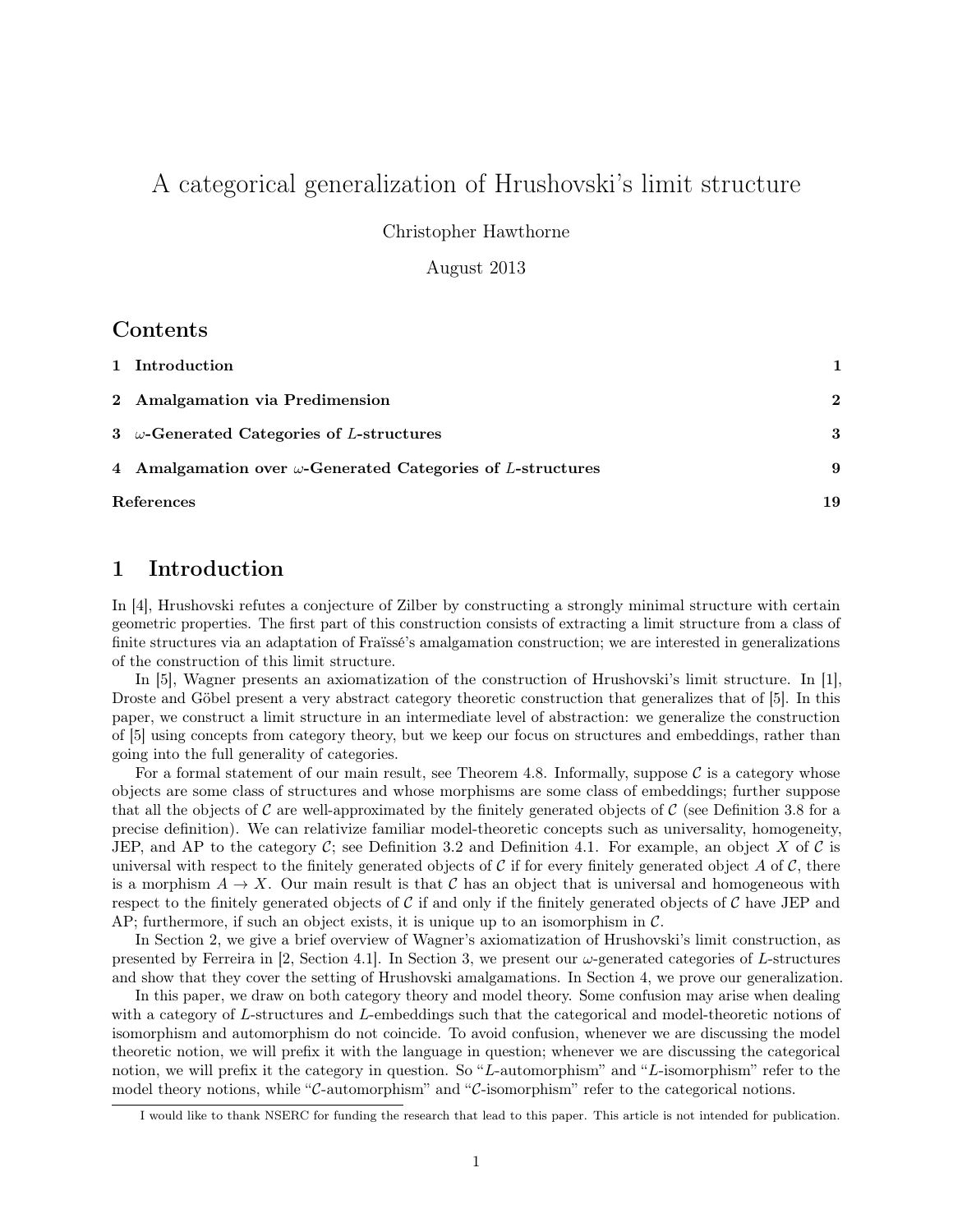# <span id="page-0-1"></span>A categorical generalization of Hrushovski's limit structure

Christopher Hawthorne

August 2013

### Contents

| 1 Introduction                                                     |              |
|--------------------------------------------------------------------|--------------|
| 2 Amalgamation via Predimension                                    | $\mathbf{2}$ |
| 3 $\omega$ -Generated Categories of L-structures                   | 3            |
| 4 Amalgamation over $\omega$ -Generated Categories of L-structures | 9            |
| References                                                         | 19           |

## <span id="page-0-0"></span>1 Introduction

In [\[4\]](#page-18-1), Hrushovski refutes a conjecture of Zilber by constructing a strongly minimal structure with certain geometric properties. The first part of this construction consists of extracting a limit structure from a class of finite structures via an adaptation of Fraïssé's amalgamation construction; we are interested in generalizations of the construction of this limit structure.

In [\[5\]](#page-18-2), Wagner presents an axiomatization of the construction of Hrushovski's limit structure. In [\[1\]](#page-18-3), Droste and Göbel present a very abstract category theoretic construction that generalizes that of [\[5\]](#page-18-2). In this paper, we construct a limit structure in an intermediate level of abstraction: we generalize the construction of [\[5\]](#page-18-2) using concepts from category theory, but we keep our focus on structures and embeddings, rather than going into the full generality of categories.

For a formal statement of our main result, see [Theorem 4.8.](#page-14-0) Informally, suppose  $\mathcal C$  is a category whose objects are some class of structures and whose morphisms are some class of embeddings; further suppose that all the objects of  $\mathcal C$  are well-approximated by the finitely generated objects of  $\mathcal C$  (see [Definition 3.8](#page-4-0) for a precise definition). We can relativize familiar model-theoretic concepts such as universality, homogeneity, JEP, and AP to the category  $\mathcal{C}$ ; see [Definition 3.2](#page-2-1) and [Definition 4.1.](#page-8-1) For example, an object X of  $\mathcal{C}$  is universal with respect to the finitely generated objects of C if for every finitely generated object A of C, there is a morphism  $A \to X$ . Our main result is that C has an object that is universal and homogeneous with respect to the finitely generated objects of C if and only if the finitely generated objects of C have JEP and AP; furthermore, if such an object exists, it is unique up to an isomorphism in  $\mathcal{C}$ .

In [Section 2,](#page-1-0) we give a brief overview of Wagner's axiomatization of Hrushovski's limit construction, as presented by Ferreira in [\[2,](#page-18-4) Section 4.1]. In [Section 3,](#page-2-0) we present our  $\omega$ -generated categories of L-structures and show that they cover the setting of Hrushovski amalgamations. In [Section 4,](#page-8-0) we prove our generalization.

In this paper, we draw on both category theory and model theory. Some confusion may arise when dealing with a category of L-structures and L-embeddings such that the categorical and model-theoretic notions of isomorphism and automorphism do not coincide. To avoid confusion, whenever we are discussing the model theoretic notion, we will prefix it with the language in question; whenever we are discussing the categorical notion, we will prefix it the category in question. So "L-automorphism" and "L-isomorphism" refer to the model theory notions, while "C-automorphism" and "C-isomorphism" refer to the categorical notions.

I would like to thank NSERC for funding the research that lead to this paper. This article is not intended for publication.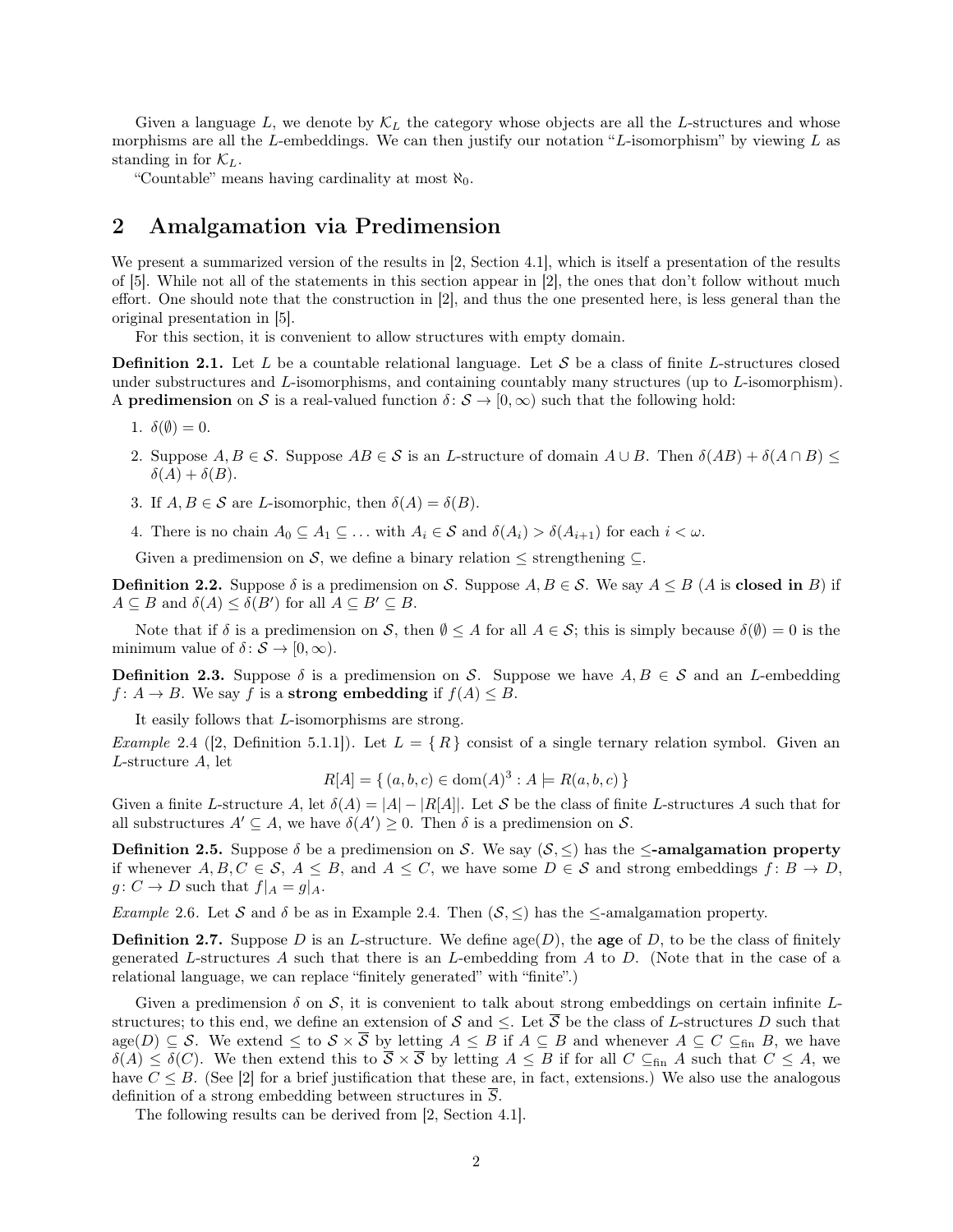<span id="page-1-3"></span>Given a language L, we denote by  $\mathcal{K}_L$  the category whose objects are all the L-structures and whose morphisms are all the L-embeddings. We can then justify our notation "L-isomorphism" by viewing  $L$  as standing in for  $\mathcal{K}_L$ .

"Countable" means having cardinality at most  $\aleph_0$ .

### <span id="page-1-0"></span>2 Amalgamation via Predimension

We present a summarized version of the results in [\[2,](#page-18-4) Section 4.1], which is itself a presentation of the results of [\[5\]](#page-18-2). While not all of the statements in this section appear in [\[2\]](#page-18-4), the ones that don't follow without much effort. One should note that the construction in [\[2\]](#page-18-4), and thus the one presented here, is less general than the original presentation in [\[5\]](#page-18-2).

For this section, it is convenient to allow structures with empty domain.

**Definition 2.1.** Let L be a countable relational language. Let S be a class of finite L-structures closed under substructures and L-isomorphisms, and containing countably many structures (up to L-isomorphism). A **predimension** on S is a real-valued function  $\delta: S \to [0, \infty)$  such that the following hold:

- 1.  $\delta(\emptyset)=0$ .
- 2. Suppose  $A, B \in \mathcal{S}$ . Suppose  $AB \in \mathcal{S}$  is an L-structure of domain  $A \cup B$ . Then  $\delta(AB) + \delta(A \cap B)$  $\delta(A) + \delta(B)$ .
- 3. If  $A, B \in \mathcal{S}$  are *L*-isomorphic, then  $\delta(A) = \delta(B)$ .
- 4. There is no chain  $A_0 \subseteq A_1 \subseteq \ldots$  with  $A_i \in \mathcal{S}$  and  $\delta(A_i) > \delta(A_{i+1})$  for each  $i < \omega$ .

Given a predimension on S, we define a binary relation  $\leq$  strengthening  $\subseteq$ .

**Definition 2.2.** Suppose  $\delta$  is a predimension on S. Suppose  $A, B \in S$ . We say  $A \leq B$  (A is closed in B) if  $A \subseteq B$  and  $\delta(A) \leq \delta(B')$  for all  $A \subseteq B' \subseteq B$ .

Note that if  $\delta$  is a predimension on S, then  $\emptyset \leq A$  for all  $A \in S$ ; this is simply because  $\delta(\emptyset) = 0$  is the minimum value of  $\delta: \mathcal{S} \to [0, \infty)$ .

**Definition 2.3.** Suppose  $\delta$  is a predimension on S. Suppose we have  $A, B \in S$  and an L-embedding  $f: A \to B$ . We say f is a strong embedding if  $f(A) \leq B$ .

It easily follows that L-isomorphisms are strong.

<span id="page-1-1"></span>*Example* 2.4 ([\[2,](#page-18-4) Definition 5.1.1]). Let  $L = \{R\}$  consist of a single ternary relation symbol. Given an L-structure A, let

$$
R[A] = \{ (a, b, c) \in \text{dom}(A)^3 : A \models R(a, b, c) \}
$$

Given a finite L-structure A, let  $\delta(A) = |A| - |R[A]|$ . Let S be the class of finite L-structures A such that for all substructures  $A' \subseteq A$ , we have  $\delta(A') \geq 0$ . Then  $\delta$  is a predimension on  $S$ .

**Definition 2.5.** Suppose  $\delta$  be a predimension on S. We say  $(S, \leq)$  has the  $\leq$ -amalgamation property if whenever  $A, B, C \in \mathcal{S}, A \leq B$ , and  $A \leq C$ , we have some  $D \in \mathcal{S}$  and strong embeddings  $f: B \to D$ ,  $g: C \to D$  such that  $f|_A = g|_A$ .

*Example* 2.6. Let S and  $\delta$  be as in [Example 2.4.](#page-1-1) Then  $(S, \leq)$  has the  $\leq$ -amalgamation property.

**Definition 2.7.** Suppose D is an L-structure. We define  $\text{age}(D)$ , the **age** of D, to be the class of finitely generated L-structures A such that there is an L-embedding from A to D. (Note that in the case of a relational language, we can replace "finitely generated" with "finite".)

Given a predimension  $\delta$  on  $\mathcal{S}$ , it is convenient to talk about strong embeddings on certain infinite Lstructures; to this end, we define an extension of S and  $\leq$ . Let  $\overline{S}$  be the class of L-structures D such that age(D)  $\subseteq$  S. We extend  $\leq$  to  $S \times \overline{S}$  by letting  $A \leq B$  if  $A \subseteq B$  and whenever  $A \subseteq C \subseteq_{fin} B$ , we have  $\delta(\overline{A}) \leq \overline{\delta}(C)$ . We then extend this to  $\overline{S} \times \overline{S}$  by letting  $A \leq B$  if for all  $C \subseteq_{fin} A$  such that  $C \leq A$ , we have  $C \leq B$ . (See [\[2\]](#page-18-4) for a brief justification that these are, in fact, extensions.) We also use the analogous definition of a strong embedding between structures in  $\overline{S}$ .

<span id="page-1-2"></span>The following results can be derived from [\[2,](#page-18-4) Section 4.1].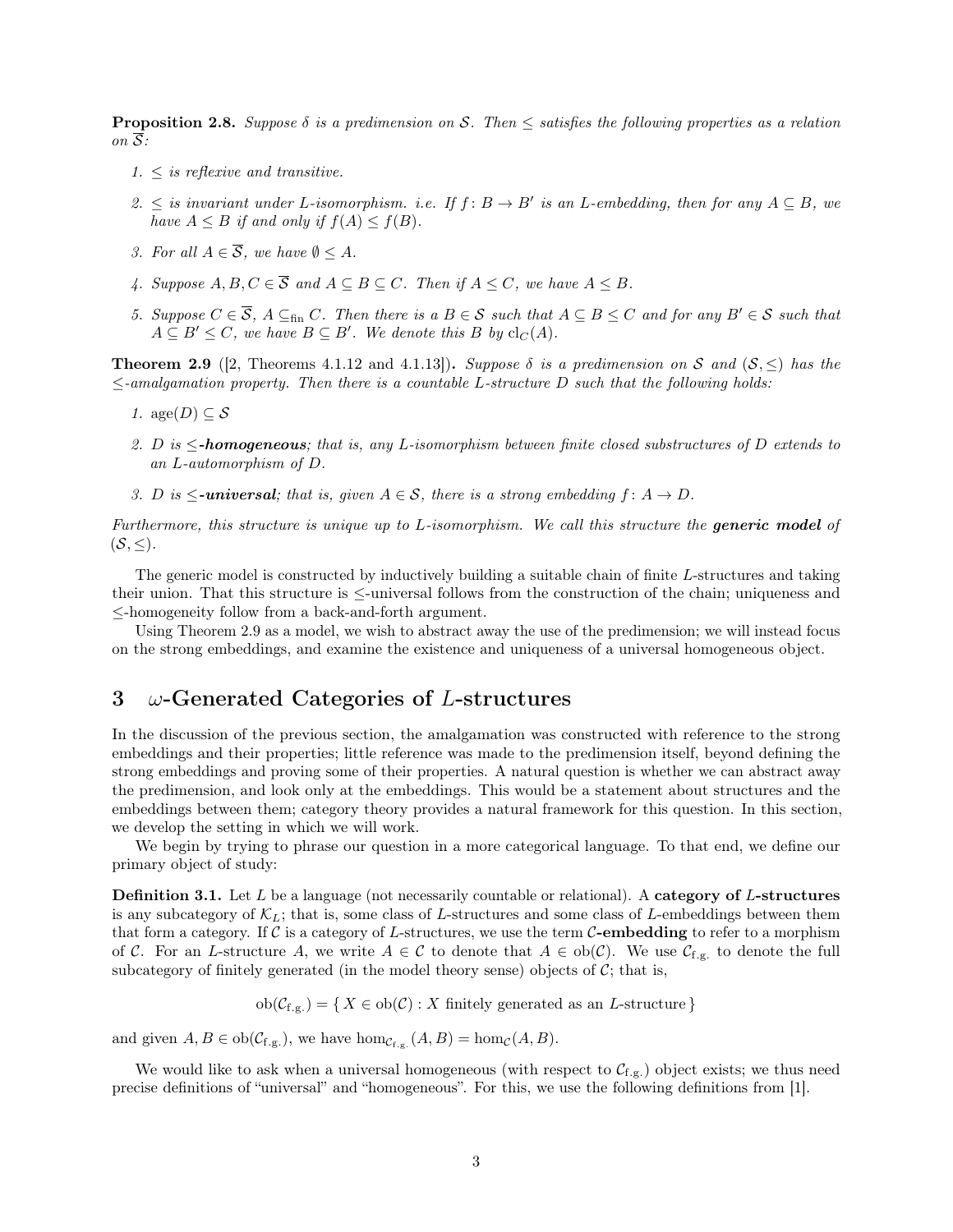<span id="page-2-4"></span>Proposition 2.8. *Suppose* δ *is a predimension on* S*. Then* ≤ *satisfies the following properties as a relation*  $\overline{on} \ \overline{S}$ :

- *1.* ≤ *is reflexive and transitive.*
- *2.* ≤ *is invariant under L*-*isomorphism. i.e. If*  $f$ :  $B \tminus B'$  *is an L*-embedding, then for any  $A ⊆ B$ *, we have*  $A \leq B$  *if and only if*  $f(A) \leq f(B)$ *.*
- *3. For all*  $A \in \overline{S}$ *, we have*  $\emptyset \leq A$ *.*
- *4. Suppose*  $A, B, C \in \overline{S}$  *and*  $A \subseteq B \subseteq C$ *. Then if*  $A \leq C$ *, we have*  $A \leq B$ *.*
- <span id="page-2-3"></span>*5. Suppose*  $C \in \overline{S}$ ,  $A \subseteq_{fin} C$ *. Then there is a*  $B \in S$  *such that*  $A \subseteq B \le C$  *and for any*  $B' \in S$  *such that*  $A \subseteq B' \leq C$ , we have  $B \subseteq B'$ . We denote this B by  $\text{cl}_C(A)$ .

<span id="page-2-2"></span>**Theorem 2.9** ([\[2,](#page-18-4) Theorems 4.1.12 and 4.1.13]). *Suppose*  $\delta$  *is a predimension on* S and  $(S, \leq)$  *has the* ≤*-amalgamation property. Then there is a countable* L*-structure* D *such that the following holds:*

- *1.* age( $D$ )  $\subset$   $S$
- *2.* D *is* ≤*-homogeneous; that is, any* L*-isomorphism between finite closed substructures of* D *extends to an* L*-automorphism of* D*.*
- *3.* D is  $\leq$ **-universal**; that is, given  $A \in S$ , there is a strong embedding  $f : A \rightarrow D$ .

*Furthermore, this structure is unique up to* L*-isomorphism. We call this structure the generic model of*  $(S, \leq)$ .

The generic model is constructed by inductively building a suitable chain of finite L-structures and taking their union. That this structure is ≤-universal follows from the construction of the chain; uniqueness and ≤-homogeneity follow from a back-and-forth argument.

Using [Theorem 2.9](#page-2-2) as a model, we wish to abstract away the use of the predimension; we will instead focus on the strong embeddings, and examine the existence and uniqueness of a universal homogeneous object.

### <span id="page-2-0"></span>3  $\omega$ -Generated Categories of L-structures

In the discussion of the previous section, the amalgamation was constructed with reference to the strong embeddings and their properties; little reference was made to the predimension itself, beyond defining the strong embeddings and proving some of their properties. A natural question is whether we can abstract away the predimension, and look only at the embeddings. This would be a statement about structures and the embeddings between them; category theory provides a natural framework for this question. In this section, we develop the setting in which we will work.

We begin by trying to phrase our question in a more categorical language. To that end, we define our primary object of study:

**Definition 3.1.** Let  $L$  be a language (not necessarily countable or relational). A category of  $L$ -structures is any subcategory of  $\mathcal{K}_L$ ; that is, some class of L-structures and some class of L-embeddings between them that form a category. If C is a category of L-structures, we use the term C-embedding to refer to a morphism of C. For an L-structure A, we write  $A \in \mathcal{C}$  to denote that  $A \in ob(\mathcal{C})$ . We use  $\mathcal{C}_{f,g.}$  to denote the full subcategory of finitely generated (in the model theory sense) objects of  $\mathcal{C}$ ; that is,

 $ob(\mathcal{C}_{f,g.}) = \{ X \in ob(\mathcal{C}) : X \text{ finitely generated as an } L\text{-structure} \}$ 

and given  $A, B \in ob(\mathcal{C}_{f.g.}),$  we have  $hom_{\mathcal{C}_{f.g.}}(A, B) = hom_{\mathcal{C}}(A, B).$ 

<span id="page-2-1"></span>We would like to ask when a universal homogeneous (with respect to  $C_{f,g}$ ) object exists; we thus need precise definitions of "universal" and "homogeneous". For this, we use the following definitions from [\[1\]](#page-18-3).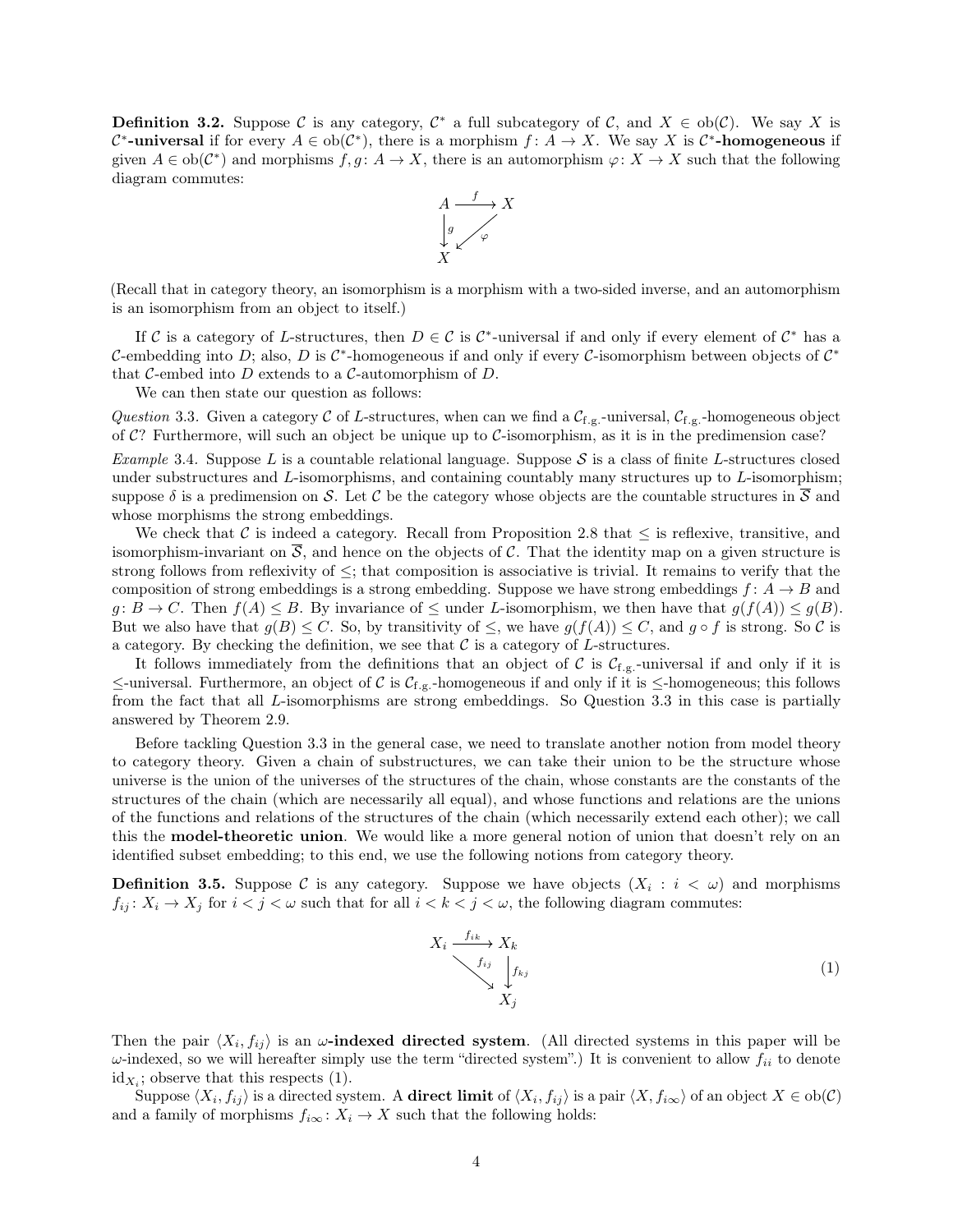**Definition 3.2.** Suppose C is any category,  $C^*$  a full subcategory of C, and  $X \in ob(\mathcal{C})$ . We say X is  $\mathcal{C}^*$ -universal if for every  $A \in ob(\mathcal{C}^*)$ , there is a morphism  $f: A \to X$ . We say X is  $\mathcal{C}^*$ -homogeneous if given  $A \in ob(\mathcal{C}^*)$  and morphisms  $f, g: A \to X$ , there is an automorphism  $\varphi: X \to X$  such that the following diagram commutes:



(Recall that in category theory, an isomorphism is a morphism with a two-sided inverse, and an automorphism is an isomorphism from an object to itself.)

If C is a category of L-structures, then  $D \in \mathcal{C}$  is C<sup>\*</sup>-universal if and only if every element of C<sup>\*</sup> has a C-embedding into D; also, D is  $\mathcal{C}^*$ -homogeneous if and only if every C-isomorphism between objects of  $\mathcal{C}^*$ that C-embed into  $D$  extends to a C-automorphism of  $D$ .

We can then state our question as follows:

<span id="page-3-0"></span>*Question* 3.3. Given a category C of L-structures, when can we find a  $C_{f,g}$ -universal,  $C_{f,g}$ -homogeneous object of  $C$ ? Furthermore, will such an object be unique up to  $C$ -isomorphism, as it is in the predimension case?

<span id="page-3-2"></span>*Example* 3.4. Suppose L is a countable relational language. Suppose  $S$  is a class of finite L-structures closed under substructures and  $L$ -isomorphisms, and containing countably many structures up to  $L$ -isomorphism; suppose  $\delta$  is a predimension on S. Let C be the category whose objects are the countable structures in  $\overline{S}$  and whose morphisms the strong embeddings.

We check that C is indeed a category. Recall from [Proposition 2.8](#page-1-2) that  $\leq$  is reflexive, transitive, and isomorphism-invariant on  $\overline{S}$ , and hence on the objects of C. That the identity map on a given structure is strong follows from reflexivity of  $\leq$ ; that composition is associative is trivial. It remains to verify that the composition of strong embeddings is a strong embedding. Suppose we have strong embeddings  $f: A \rightarrow B$  and  $g: B \to C$ . Then  $f(A) \leq B$ . By invariance of  $\leq$  under L-isomorphism, we then have that  $g(f(A)) \leq g(B)$ . But we also have that  $g(B) \leq C$ . So, by transitivity of  $\leq$ , we have  $g(f(A)) \leq C$ , and  $g \circ f$  is strong. So C is a category. By checking the definition, we see that  $\mathcal C$  is a category of L-structures.

It follows immediately from the definitions that an object of C is  $C_{f,g}$ -universal if and only if it is  $\le$ -universal. Furthermore, an object of C is  $C_{f,g}$ -homogeneous if and only if it is  $\le$ -homogeneous; this follows from the fact that all L-isomorphisms are strong embeddings. So [Question 3.3](#page-3-0) in this case is partially answered by [Theorem 2.9.](#page-2-2)

Before tackling [Question 3.3](#page-3-0) in the general case, we need to translate another notion from model theory to category theory. Given a chain of substructures, we can take their union to be the structure whose universe is the union of the universes of the structures of the chain, whose constants are the constants of the structures of the chain (which are necessarily all equal), and whose functions and relations are the unions of the functions and relations of the structures of the chain (which necessarily extend each other); we call this the model-theoretic union. We would like a more general notion of union that doesn't rely on an identified subset embedding; to this end, we use the following notions from category theory.

**Definition 3.5.** Suppose C is any category. Suppose we have objects  $(X_i : i < \omega)$  and morphisms  $f_{ij}$ :  $X_i \to X_j$  for  $i < j < \omega$  such that for all  $i < k < j < \omega$ , the following diagram commutes:

<span id="page-3-1"></span>
$$
X_i \xrightarrow{f_{ik}} X_k
$$
\n
$$
f_{ij} \downarrow f_{kj}
$$
\n
$$
X_j
$$
\n(1)

Then the pair  $\langle X_i, f_{ij} \rangle$  is an  $\omega$ -indexed directed system. (All directed systems in this paper will be  $\omega$ -indexed, so we will hereafter simply use the term "directed system".) It is convenient to allow  $f_{ii}$  to denote  $id_{X_i}$ ; observe that this respects [\(1\)](#page-3-1).

Suppose  $\langle X_i, f_{ij} \rangle$  is a directed system. A **direct limit** of  $\langle X_i, f_{ij} \rangle$  is a pair  $\langle X, f_{i\infty} \rangle$  of an object  $X \in ob(\mathcal{C})$ and a family of morphisms  $f_{i\infty} : X_i \to X$  such that the following holds: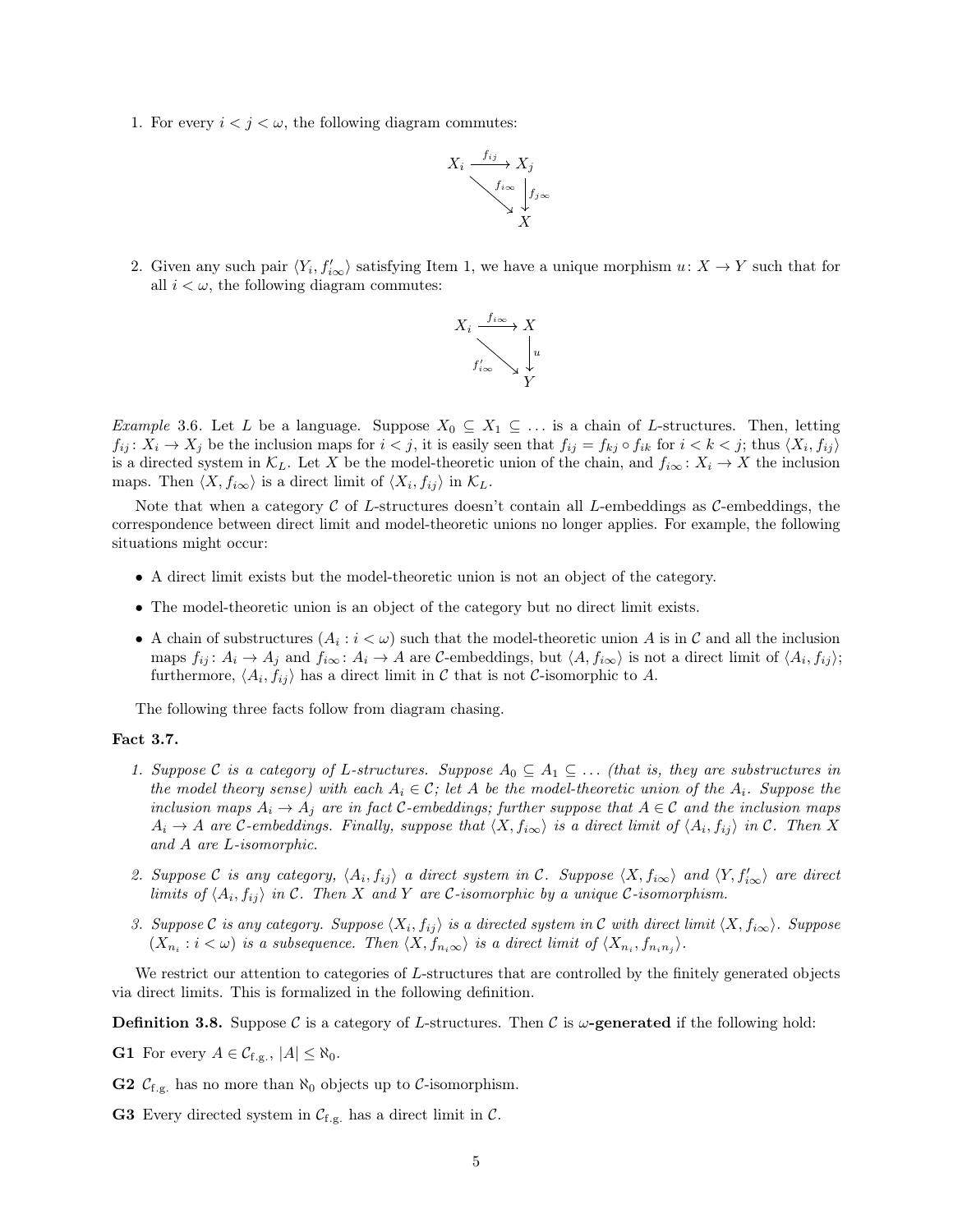<span id="page-4-1"></span>1. For every  $i < j < \omega$ , the following diagram commutes:



2. Given any such pair  $\langle Y_i, f'_{i\infty} \rangle$  satisfying [Item 1,](#page-4-1) we have a unique morphism  $u: X \to Y$  such that for all  $i < \omega$ , the following diagram commutes:



*Example* 3.6. Let L be a language. Suppose  $X_0 \subseteq X_1 \subseteq \ldots$  is a chain of L-structures. Then, letting  $f_{ij}$ :  $X_i \to X_j$  be the inclusion maps for  $i < j$ , it is easily seen that  $f_{ij} = f_{kj} \circ f_{ik}$  for  $i < k < j$ ; thus  $\langle X_i, f_{ij} \rangle$ is a directed system in  $\mathcal{K}_L$ . Let X be the model-theoretic union of the chain, and  $f_{i\infty}: X_i \to X$  the inclusion maps. Then  $\langle X, f_{i\infty} \rangle$  is a direct limit of  $\langle X_i, f_{ij} \rangle$  in  $\mathcal{K}_L$ .

Note that when a category  $\mathcal C$  of L-structures doesn't contain all L-embeddings as  $\mathcal C$ -embeddings, the correspondence between direct limit and model-theoretic unions no longer applies. For example, the following situations might occur:

- A direct limit exists but the model-theoretic union is not an object of the category.
- The model-theoretic union is an object of the category but no direct limit exists.
- A chain of substructures  $(A_i : i < \omega)$  such that the model-theoretic union A is in C and all the inclusion maps  $f_{ij}$ :  $A_i \to A_j$  and  $f_{i\infty}$ :  $A_i \to A$  are C-embeddings, but  $\langle A, f_{i\infty} \rangle$  is not a direct limit of  $\langle A_i, f_{ij} \rangle$ ; furthermore,  $\langle A_i, f_{ij} \rangle$  has a direct limit in C that is not C-isomorphic to A.

The following three facts follow from diagram chasing.

### <span id="page-4-2"></span>Fact 3.7.

- *1. Suppose* C *is a category of* L-structures. Suppose  $A_0 \subseteq A_1 \subseteq \ldots$  *(that is, they are substructures in the model theory sense) with each*  $A_i \in \mathcal{C}$ ; let A be the model-theoretic union of the  $A_i$ . Suppose the *inclusion maps*  $A_i \rightarrow A_j$  *are in fact* C-embeddings; further suppose that  $A \in \mathcal{C}$  and the inclusion maps  $A_i \rightarrow A$  are C-embeddings. Finally, suppose that  $\langle X, f_{i\infty} \rangle$  is a direct limit of  $\langle A_i, f_{ij} \rangle$  in C. Then X *and* A *are* L*-isomorphic.*
- *2. Suppose* C *is any category*,  $\langle A_i, f_{ij} \rangle$  *a direct system in* C*. Suppose*  $\langle X, f_{i\infty} \rangle$  *and*  $\langle Y, f'_{i\infty} \rangle$  *are direct limits of*  $\langle A_i, f_{ij} \rangle$  *in* C. Then X and Y are C-isomorphic by a unique C-isomorphism.
- *3. Suppose* C *is any category. Suppose*  $\langle X_i, f_{ij} \rangle$  *is a directed system in* C *with direct limit*  $\langle X, f_{i\infty} \rangle$ *. Suppose*  $(X_{n_i}: i < \omega)$  *is a subsequence. Then*  $\langle X, f_{n_i\infty}\rangle$  *is a direct limit of*  $\langle X_{n_i}, f_{n_i n_i}\rangle$ *.*

We restrict our attention to categories of L-structures that are controlled by the finitely generated objects via direct limits. This is formalized in the following definition.

<span id="page-4-0"></span>**Definition 3.8.** Suppose C is a category of L-structures. Then C is  $\omega$ -generated if the following hold:

**G1** For every  $A \in \mathcal{C}_{f,g.}$ ,  $|A| \leq \aleph_0$ .

**G2**  $C_{f,g}$  has no more than  $\aleph_0$  objects up to C-isomorphism.

**G3** Every directed system in  $C_{f.g.}$  has a direct limit in  $C$ .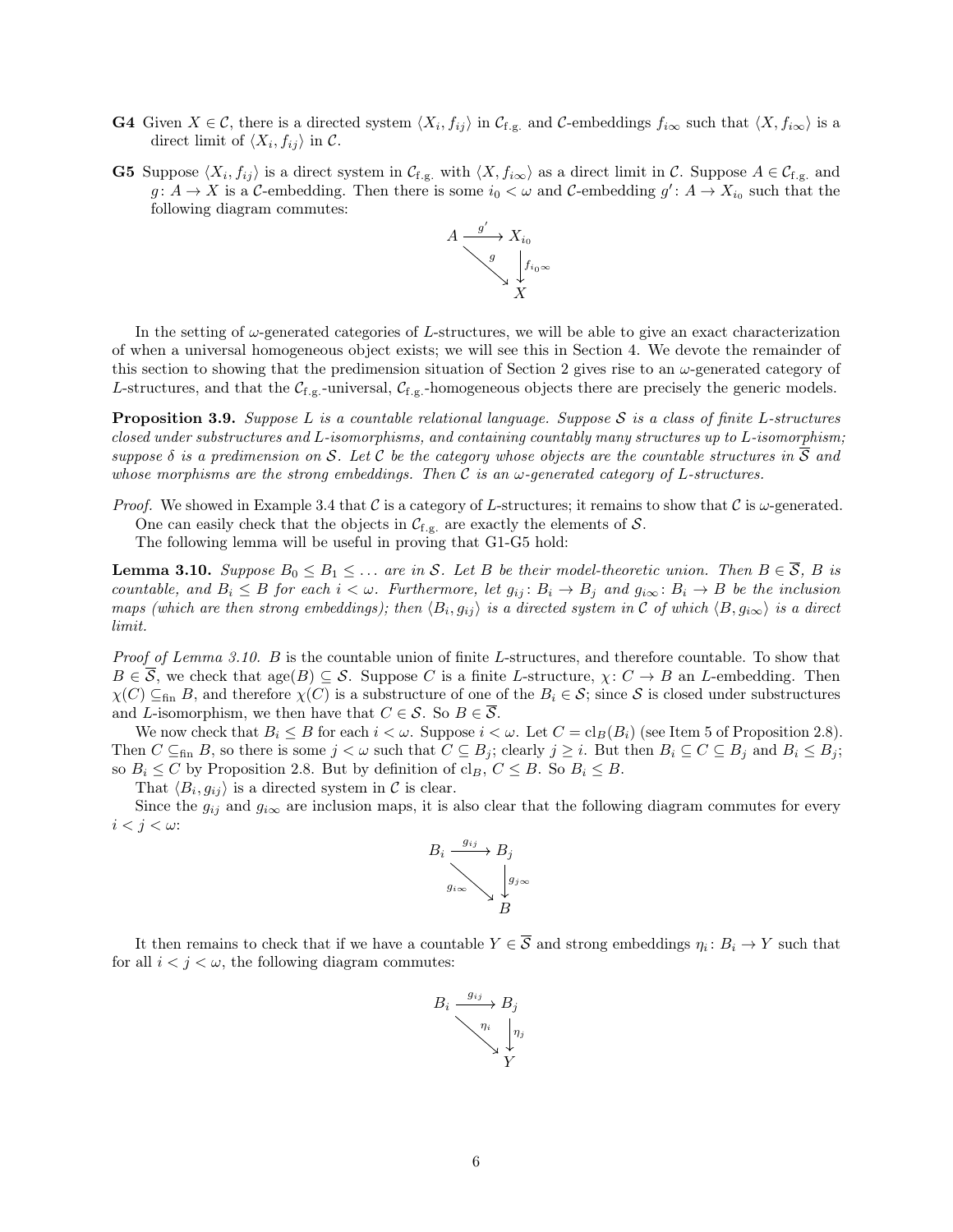- **G4** Given  $X \in \mathcal{C}$ , there is a directed system  $\langle X_i, f_{ij} \rangle$  in  $\mathcal{C}_{f,g.}$  and  $\mathcal{C}$ -embeddings  $f_{i\infty}$  such that  $\langle X, f_{i\infty} \rangle$  is a direct limit of  $\langle X_i, f_{ij} \rangle$  in C.
- **G5** Suppose  $\langle X_i, f_{ij} \rangle$  is a direct system in  $\mathcal{C}_{f,g.}$  with  $\langle X, f_{i\infty} \rangle$  as a direct limit in  $\mathcal{C}$ . Suppose  $A \in \mathcal{C}_{f,g.}$  and  $g: A \to X$  is a C-embedding. Then there is some  $i_0 < \omega$  and C-embedding  $g': A \to X_{i_0}$  such that the following diagram commutes:



In the setting of  $\omega$ -generated categories of L-structures, we will be able to give an exact characterization of when a universal homogeneous object exists; we will see this in [Section 4.](#page-8-0) We devote the remainder of this section to showing that the predimension situation of [Section 2](#page-1-0) gives rise to an  $\omega$ -generated category of L-structures, and that the  $C_{f,g}$ -universal,  $C_{f,g}$ -homogeneous objects there are precisely the generic models.

<span id="page-5-1"></span>Proposition 3.9. *Suppose* L *is a countable relational language. Suppose* S *is a class of finite* L*-structures closed under substructures and* L*-isomorphisms, and containing countably many structures up to* L*-isomorphism; suppose*  $\delta$  *is a predimension on* S. Let C be the category whose objects are the countable structures in  $\overline{S}$  and *whose morphisms are the strong embeddings. Then* C *is an* ω*-generated category of* L*-structures.*

*Proof.* We showed in [Example 3.4](#page-3-2) that C is a category of L-structures; it remains to show that C is  $\omega$ -generated. One can easily check that the objects in  $C_{f.g.}$  are exactly the elements of S.

The following lemma will be useful in proving that G1-G5 hold:

<span id="page-5-0"></span>**Lemma 3.10.** *Suppose*  $B_0 \leq B_1 \leq \ldots$  *are in* S. Let B *be their model-theoretic union. Then*  $B \in \overline{S}$ , B *is countable, and*  $B_i \leq B$  *for each*  $i < \omega$ *. Furthermore, let*  $g_{ij} : B_i \to B_j$  *and*  $g_{i\infty} : B_i \to B$  *be the inclusion maps (which are then strong embeddings); then*  $\langle B_i, g_{ij} \rangle$  *is a directed system in* C *of which*  $\langle B, g_{i\infty} \rangle$  *is a direct limit.*

*Proof of [Lemma 3.10.](#page-5-0)* B is the countable union of finite L-structures, and therefore countable. To show that  $B \in \mathcal{S}$ , we check that age $(B) \subseteq \mathcal{S}$ . Suppose C is a finite L-structure,  $\chi: C \to B$  an L-embedding. Then  $\chi(C) \subseteq_{fin} B$ , and therefore  $\chi(C)$  is a substructure of one of the  $B_i \in \mathcal{S}$ ; since S is closed under substructures and L-isomorphism, we then have that  $C \in \mathcal{S}$ . So  $B \in \mathcal{S}$ .

We now check that  $B_i \leq B$  for each  $i < \omega$ . Suppose  $i < \omega$ . Let  $C = \text{cl}_B(B_i)$  (see [Item 5](#page-2-3) of [Proposition 2.8\)](#page-1-2). Then  $C \subseteq_{fin} B$ , so there is some  $j < \omega$  such that  $C \subseteq B_j$ ; clearly  $j \geq i$ . But then  $B_i \subseteq C \subseteq B_j$  and  $B_i \leq B_j$ ; so  $B_i \leq C$  by [Proposition 2.8.](#page-1-2) But by definition of  $\text{cl}_B$ ,  $C \leq B$ . So  $B_i \leq B$ .

That  $\langle B_i, g_{ij} \rangle$  is a directed system in C is clear.

Since the  $g_{ij}$  and  $g_{i\infty}$  are inclusion maps, it is also clear that the following diagram commutes for every  $i < j < \omega$ :



It then remains to check that if we have a countable  $Y \in \overline{S}$  and strong embeddings  $\eta_i : B_i \to Y$  such that for all  $i < j < \omega$ , the following diagram commutes:

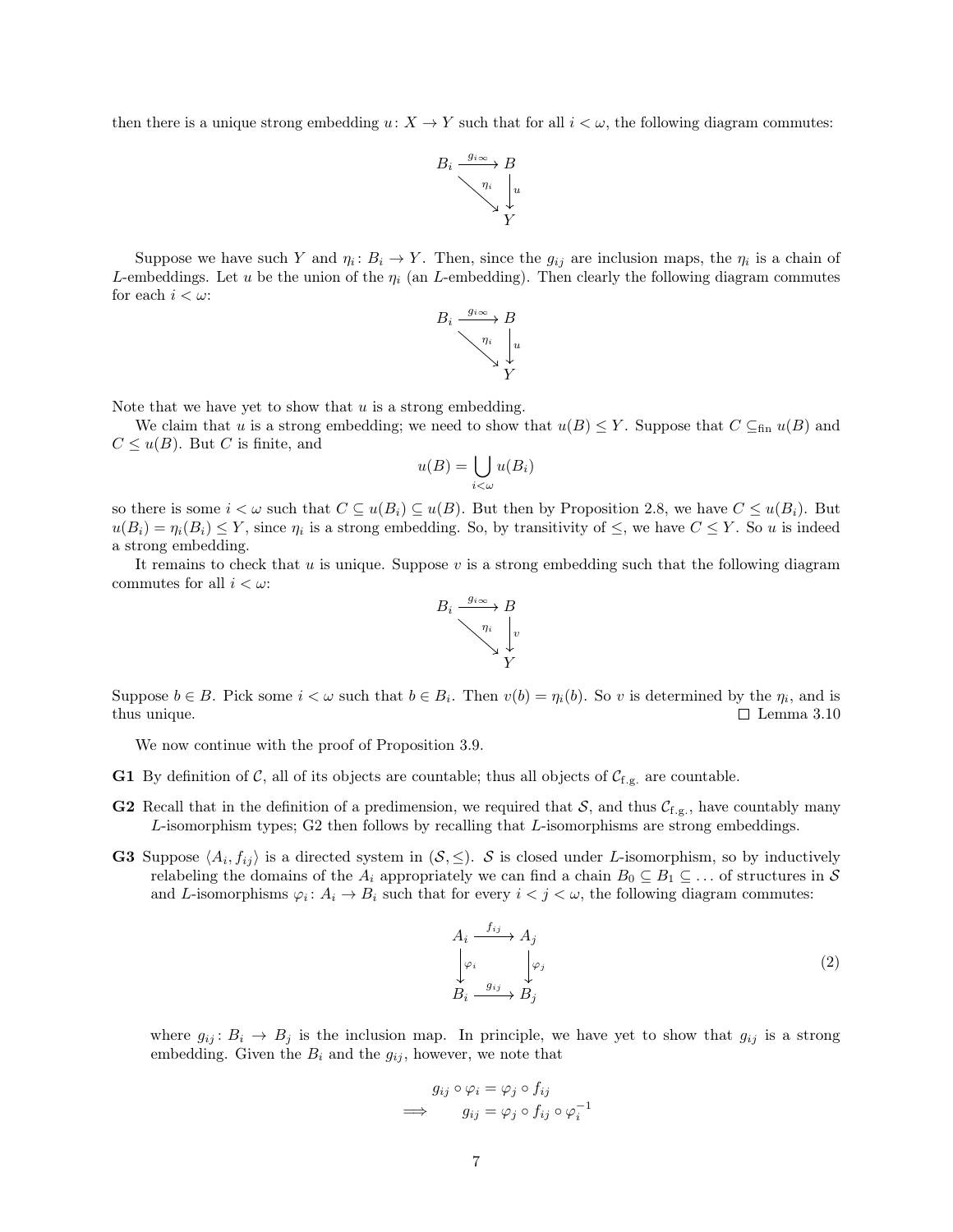then there is a unique strong embedding  $u: X \to Y$  such that for all  $i < \omega$ , the following diagram commutes:



Suppose we have such Y and  $\eta_i : B_i \to Y$ . Then, since the  $g_{ij}$  are inclusion maps, the  $\eta_i$  is a chain of L-embeddings. Let u be the union of the  $\eta_i$  (an L-embedding). Then clearly the following diagram commutes for each  $i < \omega$ :



Note that we have yet to show that  $u$  is a strong embedding.

We claim that u is a strong embedding; we need to show that  $u(B) \leq Y$ . Suppose that  $C \subseteq_{fin} u(B)$  and  $C \leq u(B)$ . But C is finite, and

$$
u(B) = \bigcup_{i < \omega} u(B_i)
$$

so there is some  $i < \omega$  such that  $C \subseteq u(B_i) \subseteq u(B)$ . But then by [Proposition 2.8,](#page-1-2) we have  $C \leq u(B_i)$ . But  $u(B_i) = \eta_i(B_i) \leq Y$ , since  $\eta_i$  is a strong embedding. So, by transitivity of  $\leq$ , we have  $C \leq Y$ . So u is indeed a strong embedding.

It remains to check that  $u$  is unique. Suppose  $v$  is a strong embedding such that the following diagram commutes for all  $i < \omega$ :



Suppose  $b \in B$ . Pick some  $i < \omega$  such that  $b \in B_i$ . Then  $v(b) = \eta_i(b)$ . So v is determined by the  $\eta_i$ , and is thus unique. <br>  $\square$  Lemma 3.10  $\Box$  [Lemma 3.10](#page-5-0)

We now continue with the proof of [Proposition 3.9.](#page-5-1)

- **G1** By definition of C, all of its objects are countable; thus all objects of  $C_{f,g}$  are countable.
- **G2** Recall that in the definition of a predimension, we required that  $S$ , and thus  $\mathcal{C}_{f,g}$ , have countably many L-isomorphism types; G2 then follows by recalling that L-isomorphisms are strong embeddings.
- **G3** Suppose  $\langle A_i, f_{ij} \rangle$  is a directed system in  $(S, \leq)$ . S is closed under L-isomorphism, so by inductively relabeling the domains of the  $A_i$  appropriately we can find a chain  $B_0 \subseteq B_1 \subseteq \ldots$  of structures in S and L-isomorphisms  $\varphi_i : A_i \to B_i$  such that for every  $i < j < \omega$ , the following diagram commutes:

$$
A_i \xrightarrow{f_{ij}} A_j
$$
  
\n
$$
\downarrow \varphi_i
$$
  
\n
$$
B_i \xrightarrow{g_{ij}} B_j
$$
 (2)

where  $g_{ij}$ :  $B_i \rightarrow B_j$  is the inclusion map. In principle, we have yet to show that  $g_{ij}$  is a strong embedding. Given the  $B_i$  and the  $g_{ij}$ , however, we note that

$$
g_{ij} \circ \varphi_i = \varphi_j \circ f_{ij}
$$
  
\n
$$
\implies g_{ij} = \varphi_j \circ f_{ij} \circ \varphi_i^{-1}
$$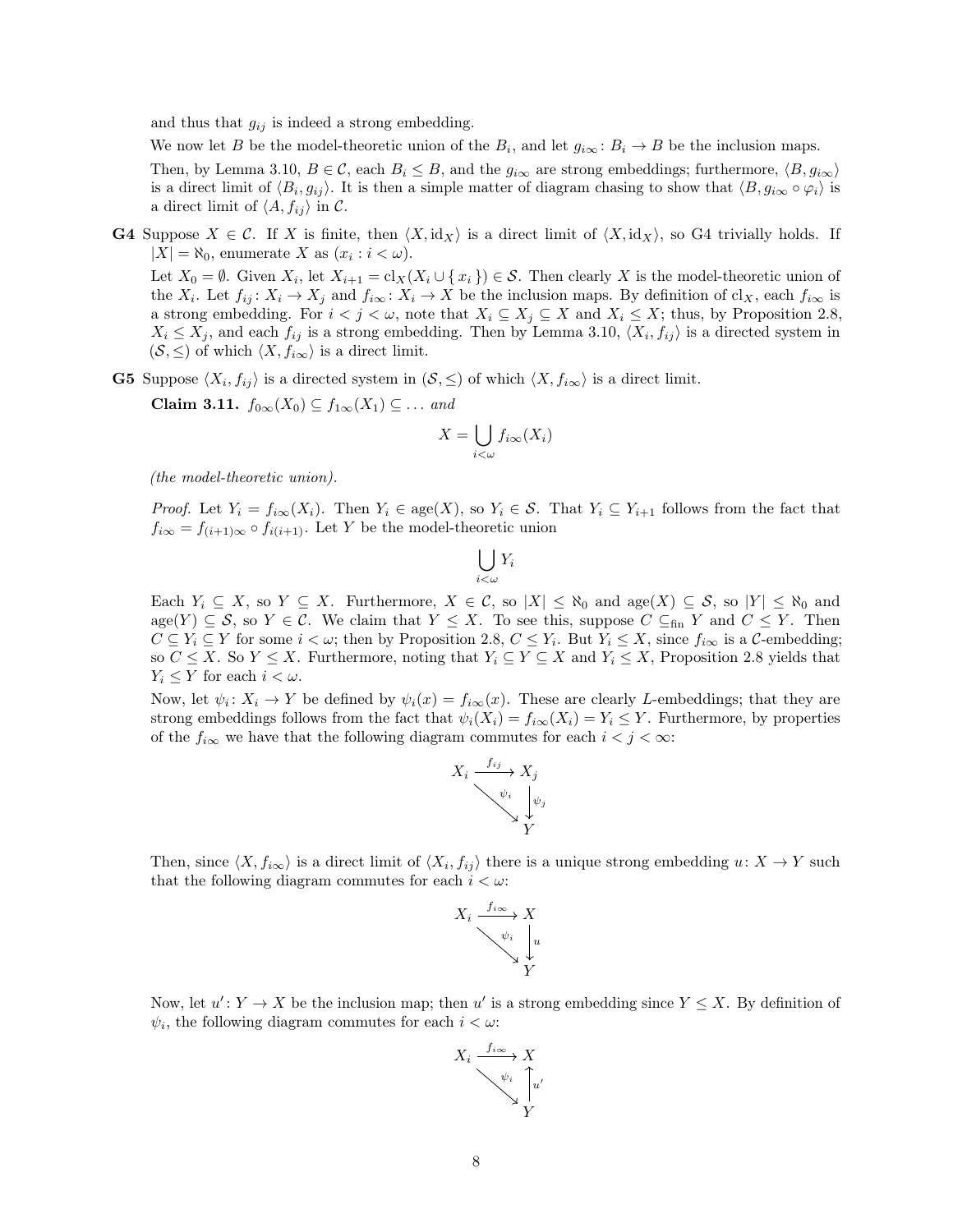and thus that  $g_{ij}$  is indeed a strong embedding.

We now let B be the model-theoretic union of the  $B_i$ , and let  $g_{i\infty} : B_i \to B$  be the inclusion maps.

Then, by [Lemma 3.10,](#page-5-0)  $B \in \mathcal{C}$ , each  $B_i \leq B$ , and the  $g_{i\infty}$  are strong embeddings; furthermore,  $\langle B, g_{i\infty} \rangle$ is a direct limit of  $\langle B_i, g_{ij} \rangle$ . It is then a simple matter of diagram chasing to show that  $\langle B, g_{i\infty} \circ \varphi_i \rangle$  is a direct limit of  $\langle A, f_{ij} \rangle$  in C.

**G4** Suppose  $X \in \mathcal{C}$ . If X is finite, then  $\langle X, id_X \rangle$  is a direct limit of  $\langle X, id_X \rangle$ , so G4 trivially holds. If  $|X| = \aleph_0$ , enumerate X as  $(x_i : i < \omega)$ .

Let  $X_0 = \emptyset$ . Given  $X_i$ , let  $X_{i+1} = \text{cl}_X(X_i \cup \{x_i\}) \in \mathcal{S}$ . Then clearly X is the model-theoretic union of the  $X_i$ . Let  $f_{ij}: X_i \to X_j$  and  $f_{i\infty}: X_i \to X$  be the inclusion maps. By definition of  $\text{cl}_X$ , each  $f_{i\infty}$  is a strong embedding. For  $i < j < \omega$ , note that  $X_i \subseteq X_j \subseteq X$  and  $X_i \leq X$ ; thus, by [Proposition 2.8,](#page-1-2)  $X_i \leq X_j$ , and each  $f_{ij}$  is a strong embedding. Then by [Lemma 3.10,](#page-5-0)  $\langle X_i, f_{ij} \rangle$  is a directed system in  $(\mathcal{S}, \leq)$  of which  $\langle X, f_{i\infty} \rangle$  is a direct limit.

<span id="page-7-0"></span>**G5** Suppose  $\langle X_i, f_{ij} \rangle$  is a directed system in  $(\mathcal{S}, \leq)$  of which  $\langle X, f_{i\infty} \rangle$  is a direct limit.

Claim 3.11.  $f_{0\infty}(X_0) \subseteq f_{1\infty}(X_1) \subseteq \ldots$  *and* 

$$
X = \bigcup_{i < \omega} f_{i\infty}(X_i)
$$

*(the model-theoretic union).*

*Proof.* Let  $Y_i = f_{i\infty}(X_i)$ . Then  $Y_i \in \text{age}(X)$ , so  $Y_i \in \mathcal{S}$ . That  $Y_i \subseteq Y_{i+1}$  follows from the fact that  $f_{i\infty} = f_{(i+1)\infty} \circ f_{i(i+1)}$ . Let Y be the model-theoretic union

$$
\bigcup_{i<\omega} Y_i
$$

Each  $Y_i \subseteq X$ , so  $Y \subseteq X$ . Furthermore,  $X \in \mathcal{C}$ , so  $|X| \leq \aleph_0$  and  $\deg(X) \subseteq \mathcal{S}$ , so  $|Y| \leq \aleph_0$  and  $\text{age}(Y) \subseteq \mathcal{S}$ , so  $Y \in \mathcal{C}$ . We claim that  $Y \leq X$ . To see this, suppose  $C \subseteq_{\text{fin}} Y$  and  $C \leq Y$ . Then  $C \subseteq Y_i \subseteq Y$  for some  $i < \omega$ ; then by [Proposition 2.8,](#page-1-2)  $C \leq Y_i$ . But  $Y_i \leq X$ , since  $f_{i\infty}$  is a C-embedding; so  $C \leq X$ . So  $Y \leq X$ . Furthermore, noting that  $Y_i \subseteq Y \subseteq X$  and  $Y_i \leq X$ , [Proposition 2.8](#page-1-2) yields that  $Y_i \leq Y$  for each  $i < \omega$ .

Now, let  $\psi_i \colon X_i \to Y$  be defined by  $\psi_i(x) = f_{i\infty}(x)$ . These are clearly L-embeddings; that they are strong embeddings follows from the fact that  $\psi_i(X_i) = f_{i\infty}(X_i) = Y_i \leq Y$ . Furthermore, by properties of the  $f_{i\infty}$  we have that the following diagram commutes for each  $i < j < \infty$ :



Then, since  $\langle X, f_{i\infty}\rangle$  is a direct limit of  $\langle X_i, f_{ij}\rangle$  there is a unique strong embedding  $u: X \to Y$  such that the following diagram commutes for each  $i < \omega$ :



Now, let  $u' : Y \to X$  be the inclusion map; then u' is a strong embedding since  $Y \leq X$ . By definition of  $\psi_i$ , the following diagram commutes for each  $i < \omega$ .

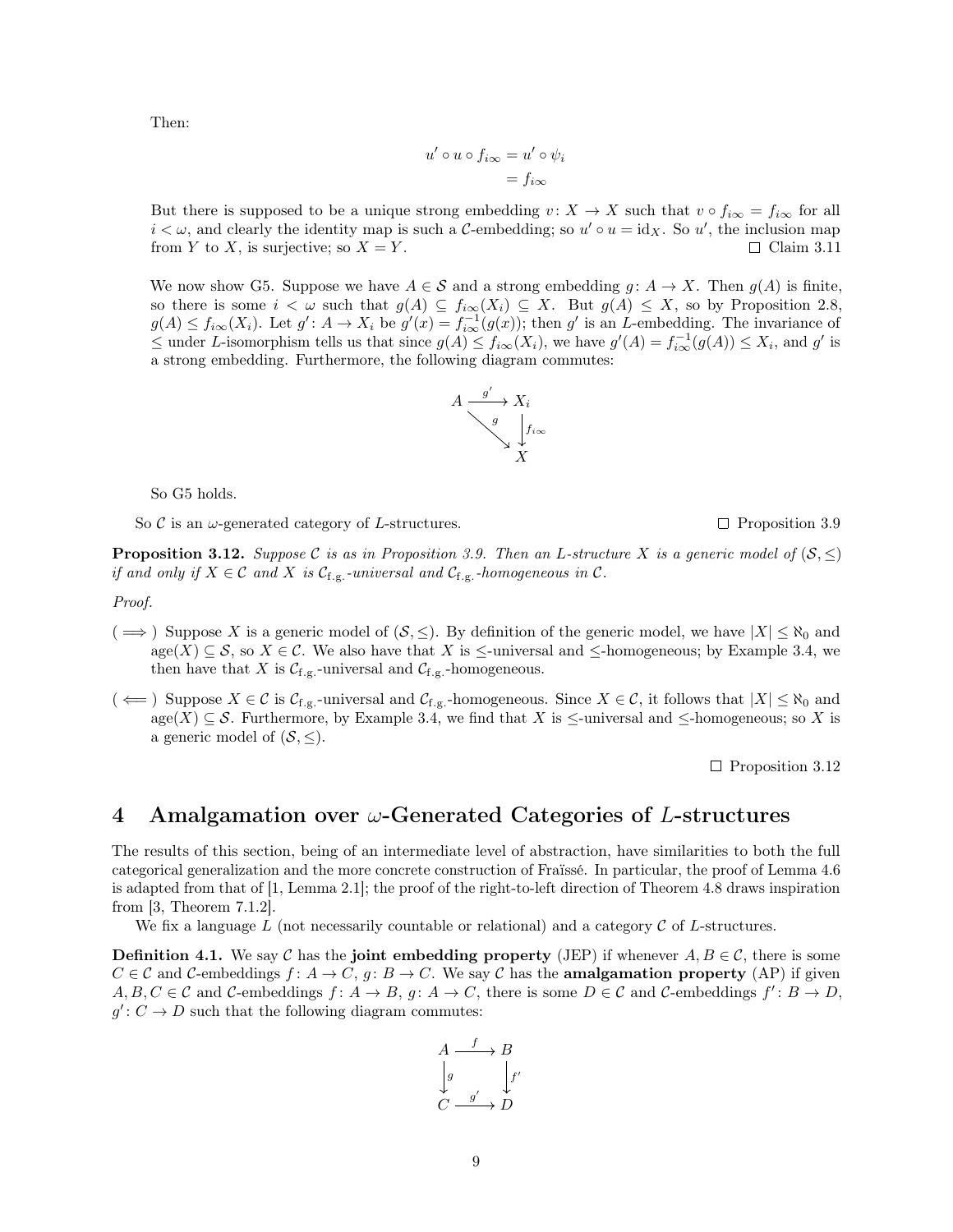<span id="page-8-3"></span>Then:

$$
u' \circ u \circ f_{i\infty} = u' \circ \psi_i
$$

$$
= f_{i\infty}
$$

But there is supposed to be a unique strong embedding  $v: X \to X$  such that  $v \circ f_{i\infty} = f_{i\infty}$  for all  $i < \omega$ , and clearly the identity map is such a C-embedding; so  $u' \circ u = id_X$ . So  $u'$ , the inclusion map from Y to X, is surjective; so  $X = Y$ .  $\Box$  [Claim 3.11](#page-7-0)

We now show G5. Suppose we have  $A \in \mathcal{S}$  and a strong embedding  $g: A \to X$ . Then  $g(A)$  is finite, so there is some  $i < \omega$  such that  $g(A) \subseteq f_{i\infty}(X_i) \subseteq X$ . But  $g(A) \leq X$ , so by [Proposition 2.8,](#page-1-2)  $g(A) \le f_{i\infty}(X_i)$ . Let  $g' : A \to X_i$  be  $g'(x) = f_{i\infty}^{-1}(g(x))$ ; then g' is an *L*-embedding. The invariance of  $\leq$  under L-isomorphism tells us that since  $g(A) \leq f_{i\infty}(X_i)$ , we have  $g'(A) = f_{i\infty}^{-1}(g(A)) \leq X_i$ , and g' is a strong embedding. Furthermore, the following diagram commutes:



So G5 holds.

So C is an  $\omega$ -generated category of L-structures.  $\Box$  [Proposition 3.9](#page-5-1)

<span id="page-8-2"></span>**Proposition 3.12.** *Suppose* C *is as in [Proposition 3.9.](#page-5-1) Then an L-structure* X *is a generic model of*  $(S, \leq)$ *if and only if*  $X \in \mathcal{C}$  *and*  $X$  *is*  $\mathcal{C}_{f,g}$ *-universal and*  $\mathcal{C}_{f,g}$ *-homogeneous in*  $\mathcal{C}$ *.* 

*Proof.*

- $(\implies)$  Suppose X is a generic model of  $(\mathcal{S}, \leq)$ . By definition of the generic model, we have  $|X| \leq \aleph_0$  and  $\text{age}(X) \subseteq \mathcal{S}$ , so  $X \in \mathcal{C}$ . We also have that X is  $\leq$ -universal and  $\leq$ -homogeneous; by [Example 3.4,](#page-3-2) we then have that X is  $C_{f,g}$ -universal and  $C_{f,g}$ -homogeneous.
- $(\iff)$  Suppose  $X \in \mathcal{C}$  is  $\mathcal{C}_{f,g}$ -universal and  $\mathcal{C}_{f,g}$ -homogeneous. Since  $X \in \mathcal{C}$ , it follows that  $|X| \leq \aleph_0$  and age(X)  $\subseteq$  S. Furthermore, by [Example 3.4,](#page-3-2) we find that X is  $\le$ -universal and  $\le$ -homogeneous; so X is a generic model of  $(S, \leq)$ .

 $\Box$  [Proposition 3.12](#page-8-2)

## <span id="page-8-0"></span>4 Amalgamation over  $\omega$ -Generated Categories of L-structures

The results of this section, being of an intermediate level of abstraction, have similarities to both the full categorical generalization and the more concrete construction of Fraïssé. In particular, the proof of [Lemma 4.6](#page-10-0) is adapted from that of [\[1,](#page-18-3) Lemma 2.1]; the proof of the right-to-left direction of [Theorem 4.8](#page-14-0) draws inspiration from [\[3,](#page-18-5) Theorem 7.1.2].

We fix a language L (not necessarily countable or relational) and a category  $\mathcal C$  of L-structures.

<span id="page-8-1"></span>**Definition 4.1.** We say C has the **joint embedding property** (JEP) if whenever  $A, B \in \mathcal{C}$ , there is some  $C \in \mathcal{C}$  and C-embeddings  $f: A \to C$ ,  $g: B \to C$ . We say C has the **amalgamation property** (AP) if given  $A, B, C \in \mathcal{C}$  and  $\mathcal{C}\text{-embeddings } f: A \to B, g: A \to C$ , there is some  $D \in \mathcal{C}$  and  $\mathcal{C}\text{-embeddings } f': B \to D$ ,  $g' : C \to D$  such that the following diagram commutes:

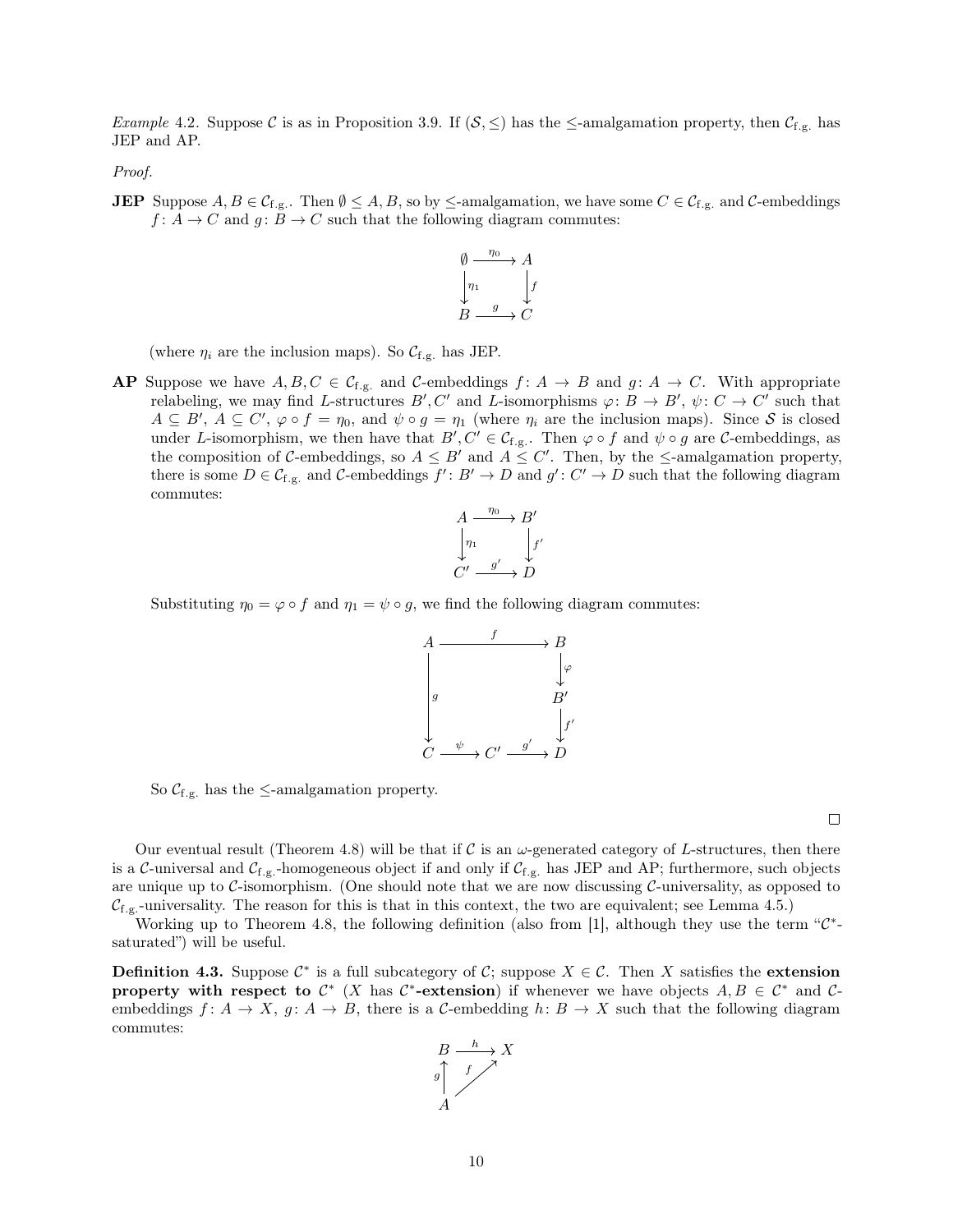<span id="page-9-1"></span>*Example* 4.2. Suppose C is as in [Proposition 3.9.](#page-5-1) If  $(S, \leq)$  has the  $\leq$ -amalgamation property, then  $C_{f,g}$  has JEP and AP.

*Proof.*

**JEP** Suppose  $A, B \in C_{f,g}$ . Then  $\emptyset \leq A, B$ , so by  $\leq$ -amalgamation, we have some  $C \in C_{f,g}$  and  $C$ -embeddings  $f: A \to C$  and  $g: B \to C$  such that the following diagram commutes:



(where  $\eta_i$  are the inclusion maps). So  $\mathcal{C}_{f.g.}$  has JEP.

**AP** Suppose we have  $A, B, C \in \mathcal{C}_{f,g}$  and  $\mathcal{C}\text{-embeddings } f: A \to B$  and  $g: A \to C$ . With appropriate relabeling, we may find L-structures  $B', C'$  and L-isomorphisms  $\varphi: B \to B', \psi: C \to C'$  such that  $A \subseteq B'$ ,  $A \subseteq C'$ ,  $\varphi \circ f = \eta_0$ , and  $\psi \circ g = \eta_1$  (where  $\eta_i$  are the inclusion maps). Since S is closed under L-isomorphism, we then have that  $B', C' \in C_{f,g}$ . Then  $\varphi \circ f$  and  $\psi \circ g$  are C-embeddings, as the composition of C-embeddings, so  $A \leq B'$  and  $A \leq C'$ . Then, by the  $\leq$ -amalgamation property, there is some  $D \in \mathcal{C}_{f,g.}$  and  $\mathcal{C}\text{-embeddings } f': B' \to D$  and  $g': C' \to D$  such that the following diagram commutes:



Substituting  $\eta_0 = \varphi \circ f$  and  $\eta_1 = \psi \circ g$ , we find the following diagram commutes:





 $\Box$ 

Our eventual result [\(Theorem 4.8\)](#page-14-0) will be that if C is an  $\omega$ -generated category of L-structures, then there is a  $\mathcal C$ -universal and  $\mathcal C_{f.g.}$  -homogeneous object if and only if  $\mathcal C_{f.g.}$  has JEP and AP; furthermore, such objects are unique up to  $\mathcal C$ -isomorphism. (One should note that we are now discussing  $\mathcal C$ -universality, as opposed to  $C_{f,g}$ -universality. The reason for this is that in this context, the two are equivalent; see [Lemma 4.5.](#page-10-1))

Working up to [Theorem 4.8,](#page-14-0) the following definition (also from [\[1\]](#page-18-3), although they use the term " $\mathcal{C}^*$ saturated") will be useful.

<span id="page-9-0"></span>**Definition 4.3.** Suppose  $\mathcal{C}^*$  is a full subcategory of C; suppose  $X \in \mathcal{C}$ . Then X satisfies the extension property with respect to  $\mathcal{C}^*$  (X has  $\mathcal{C}^*$ -extension) if whenever we have objects  $A, B \in \mathcal{C}^*$  and  $\mathcal{C}$ embeddings  $f: A \to X$ ,  $g: A \to B$ , there is a C-embedding  $h: B \to X$  such that the following diagram commutes:

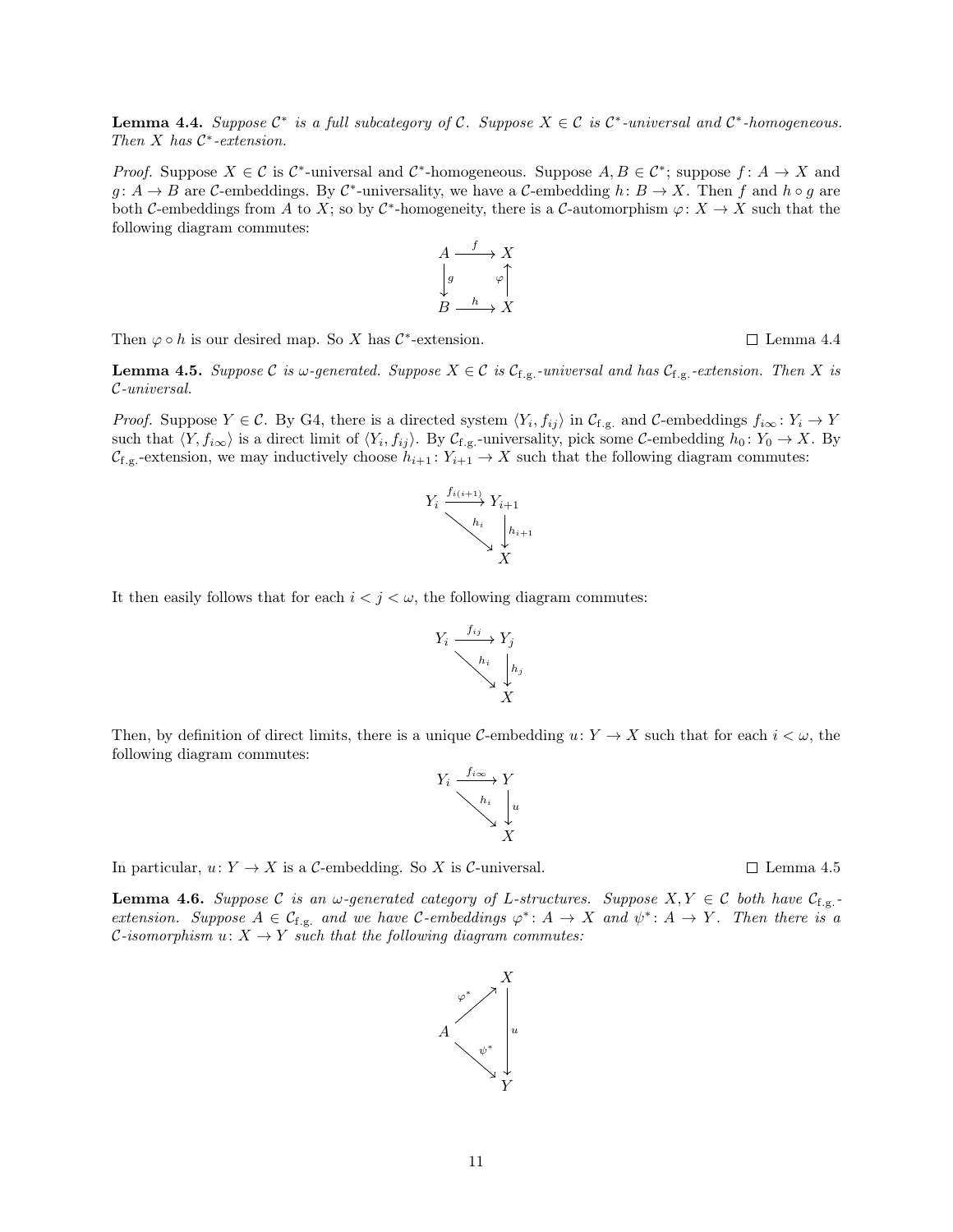Y

**Lemma 4.4.** *Suppose*  $\mathcal{C}^*$  *is a full subcategory of*  $\mathcal{C}$ *. Suppose*  $X \in \mathcal{C}$  *is*  $\mathcal{C}^*$ -*universal and*  $\mathcal{C}^*$ -*homogeneous. Then* X *has* C∗*-extension.*

*Proof.* Suppose  $X \in \mathcal{C}$  is  $\mathcal{C}^*$ -universal and  $\mathcal{C}^*$ -homogeneous. Suppose  $A, B \in \mathcal{C}^*$ ; suppose  $f: A \to X$  and  $g: A \to B$  are C-embeddings. By C<sup>\*</sup>-universality, we have a C-embedding  $h: B \to X$ . Then f and  $h \circ g$  are both C-embeddings from A to X; so by C<sup>\*</sup>-homogeneity, there is a C-automorphism  $\varphi: X \to X$  such that the following diagram commutes:

Then  $\varphi \circ h$  is our desired map. So X has  $\mathcal{C}^*$ -extension.

<span id="page-10-1"></span>**Lemma 4.5.** Suppose C is  $\omega$ -generated. Suppose  $X \in \mathcal{C}$  is  $\mathcal{C}_{f,g}$ -universal and has  $\mathcal{C}_{f,g}$ -extension. Then X is C*-universal.*

*Proof.* Suppose  $Y \in \mathcal{C}$ . By G4, there is a directed system  $\langle Y_i, f_{ij} \rangle$  in  $\mathcal{C}_{f,g}$ , and  $\mathcal{C}$ -embeddings  $f_{i\infty} : Y_i \to Y$ such that  $\langle Y, f_{i\infty} \rangle$  is a direct limit of  $\langle Y_i, f_{ij} \rangle$ . By  $\mathcal{C}_{f,g}$ -universality, pick some  $\mathcal{C}$ -embedding  $h_0 \colon Y_0 \to X$ . By  $\mathcal{C}_{f,g}$ -extension, we may inductively choose  $h_{i+1}: Y_{i+1} \to X$  such that the following diagram commutes:

It then easily follows that for each  $i < j < \omega$ , the following diagram commutes:

Then, by definition of direct limits, there is a unique C-embedding  $u: Y \to X$  such that for each  $i < \omega$ , the following diagram commutes:  $Y_i \xrightarrow{f_{i\infty}} Y$ 

 $\boldsymbol{X}$ 

X

 $\begin{array}{cc} h_i & u_i \end{array}$ 

 $\begin{array}{cc} h_i \\ h_j \end{array}$ 

 $Y_i \longrightarrow Y_j$ 

f*ij*

In particular,  $u: Y \to X$  is a C-embedding. So X is C-universal.  $\square$  [Lemma 4.5](#page-10-1)

<span id="page-10-0"></span>**Lemma 4.6.** *Suppose*  $C$  *is an*  $\omega$ -generated category of L-structures. Suppose  $X, Y \in C$  both have  $C_{f,g}$ . *extension. Suppose*  $A \in \mathcal{C}_{f,g}$  *and we have*  $\mathcal{C}\text{-embeddings } \varphi^* : A \to X$  *and*  $\psi^* : A \to Y$ *. Then there is a C*-isomorphism  $u: X \to Y$  such that the following diagram commutes:





$$
A \xrightarrow{f} X
$$
  

$$
\downarrow g \qquad \varphi \uparrow
$$
  

$$
B \xrightarrow{h} X
$$

$$
\sqcup \text{ Lemma } 4.4
$$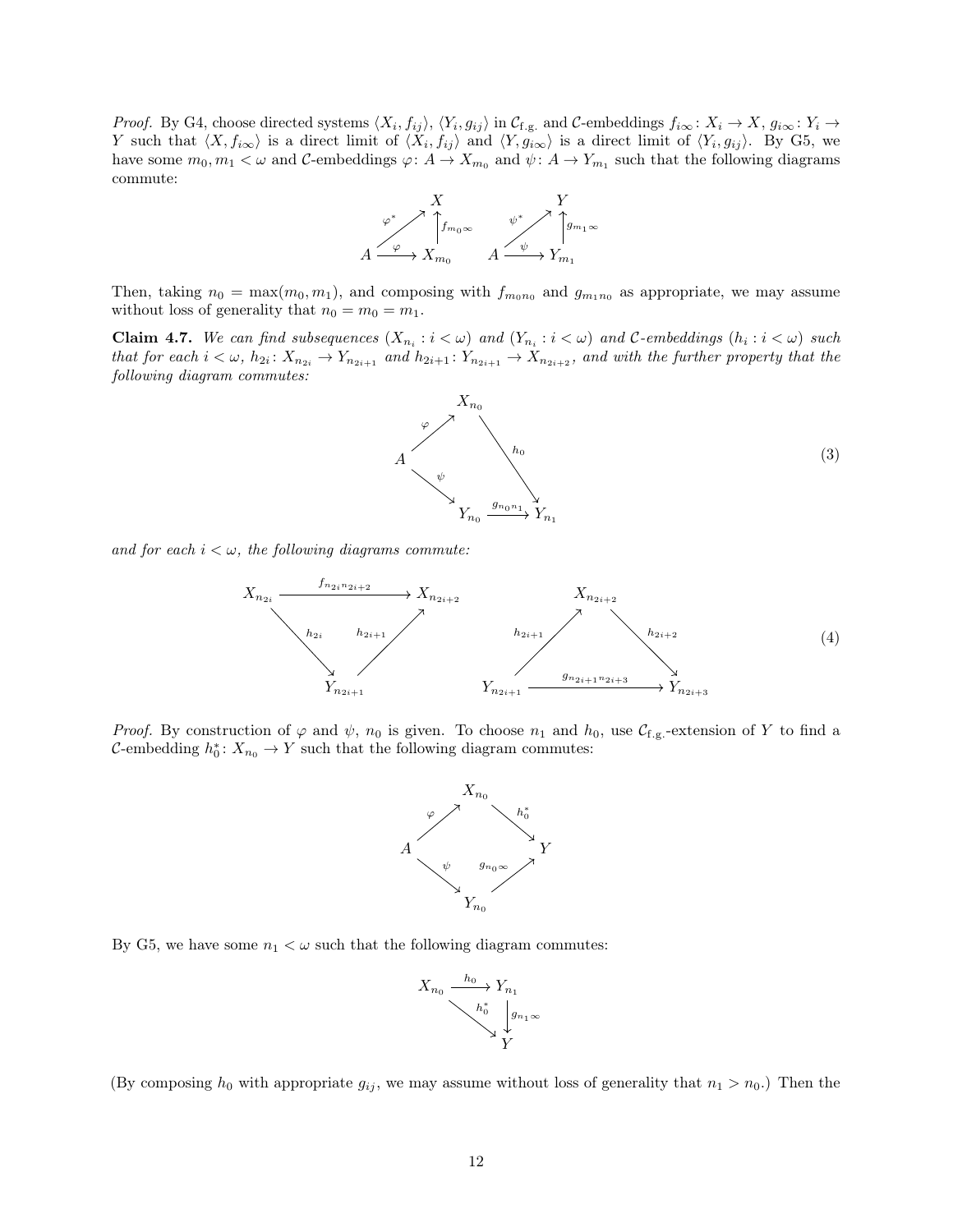*Proof.* By G4, choose directed systems  $\langle X_i, f_{ij} \rangle$ ,  $\langle Y_i, g_{ij} \rangle$  in  $\mathcal{C}_{f,g.}$  and  $\mathcal{C}$ -embeddings  $f_{i\infty} : X_i \to X$ ,  $g_{i\infty} : Y_i \to Y$ Y such that  $\langle X, f_{i\infty}\rangle$  is a direct limit of  $\langle X_i, f_{ij}\rangle$  and  $\langle Y, g_{i\infty}\rangle$  is a direct limit of  $\langle Y_i, g_{ij}\rangle$ . By G5, we have some  $m_0, m_1 < \omega$  and  $C$ -embeddings  $\varphi: A \to X_{m_0}$  and  $\psi: A \to Y_{m_1}$  such that the following diagrams commute:



Then, taking  $n_0 = \max(m_0, m_1)$ , and composing with  $f_{m_0n_0}$  and  $g_{m_1n_0}$  as appropriate, we may assume without loss of generality that  $n_0 = m_0 = m_1$ .

<span id="page-11-2"></span>Claim 4.7. We can find subsequences  $(X_{n_i}: i < \omega)$  and  $(Y_{n_i}: i < \omega)$  and C-embeddings  $(h_i: i < \omega)$  such *that for each*  $i < \omega$ ,  $h_{2i}$ :  $X_{n_{2i}} \to Y_{n_{2i+1}}$  *and*  $h_{2i+1}$ :  $Y_{n_{2i+1}} \to X_{n_{2i+2}}$ *, and with the further property that the following diagram commutes:*

<span id="page-11-0"></span> $X_{n_0}$  $A \longrightarrow h_0$  $Y_{n_0} \xrightarrow{\tiny\hspace{0.3cm} 3n_0n_1} Y_{n_1}$ ϕ ψ  $g_{n_0n_1}$ (3)

and for each  $i < \omega$ , the following diagrams commute:

<span id="page-11-1"></span>

*Proof.* By construction of  $\varphi$  and  $\psi$ ,  $n_0$  is given. To choose  $n_1$  and  $h_0$ , use  $\mathcal{C}_{f,g}$ -extension of Y to find a C-embedding  $h_0^*$ :  $X_{n_0} \to Y$  such that the following diagram commutes:



By G5, we have some  $n_1 < \omega$  such that the following diagram commutes:



(By composing  $h_0$  with appropriate  $g_{ij}$ , we may assume without loss of generality that  $n_1 > n_0$ .) Then the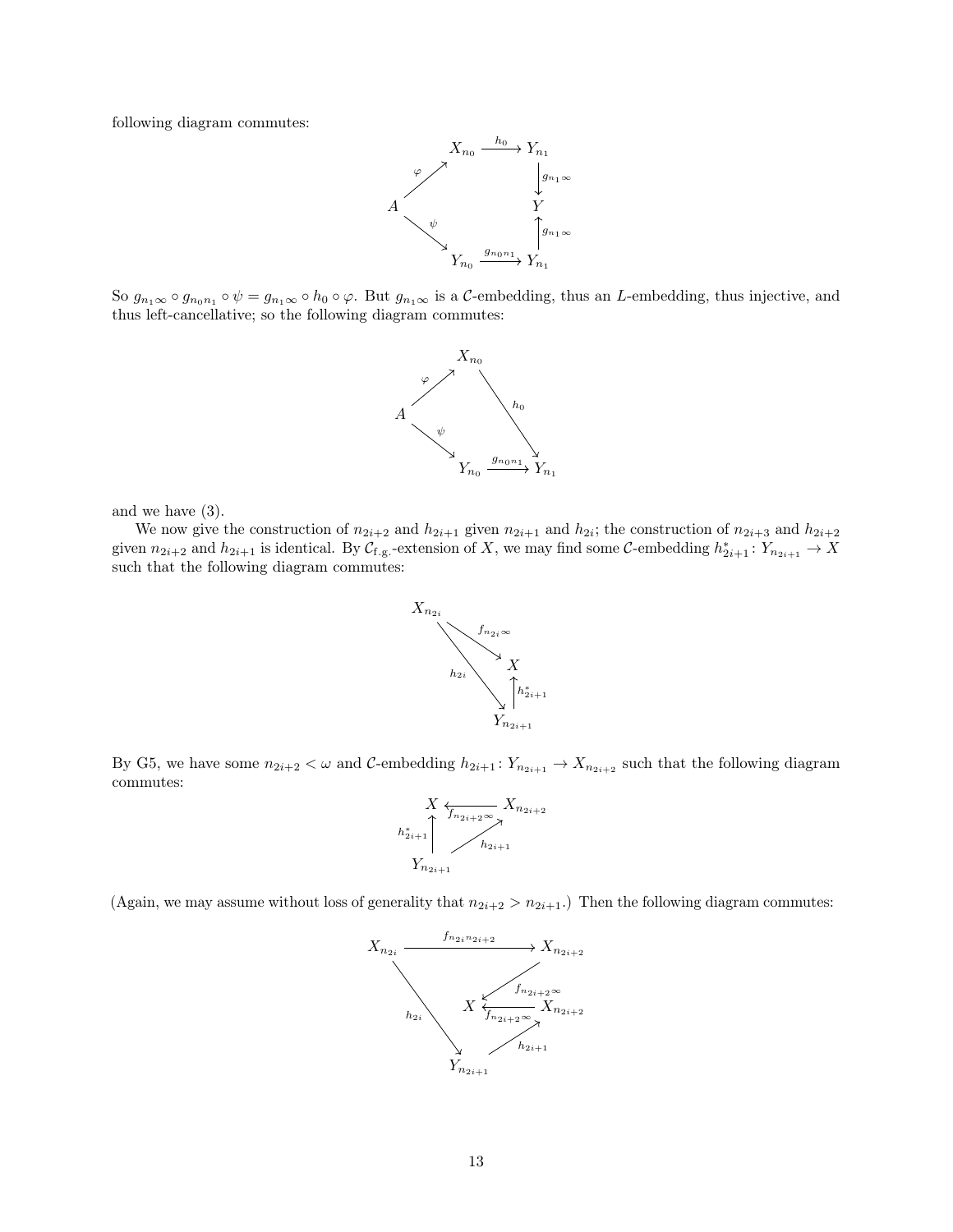following diagram commutes:



So  $g_{n_1\infty} \circ g_{n_0n_1} \circ \psi = g_{n_1\infty} \circ h_0 \circ \varphi$ . But  $g_{n_1\infty}$  is a C-embedding, thus an L-embedding, thus injective, and thus left-cancellative; so the following diagram commutes:



and we have [\(3\)](#page-11-0).

We now give the construction of  $n_{2i+2}$  and  $h_{2i+1}$  given  $n_{2i+1}$  and  $h_{2i}$ ; the construction of  $n_{2i+3}$  and  $h_{2i+2}$ given  $n_{2i+2}$  and  $h_{2i+1}$  is identical. By  $\mathcal{C}_{f,g}$ -extension of X, we may find some  $\mathcal{C}$ -embedding  $h_{2i+1}^* : Y_{n_{2i+1}} \to X$ such that the following diagram commutes:



By G5, we have some  $n_{2i+2} < \omega$  and C-embedding  $h_{2i+1} : Y_{n_{2i+1}} \to X_{n_{2i+2}}$  such that the following diagram commutes:



(Again, we may assume without loss of generality that  $n_{2i+2} > n_{2i+1}$ .) Then the following diagram commutes:

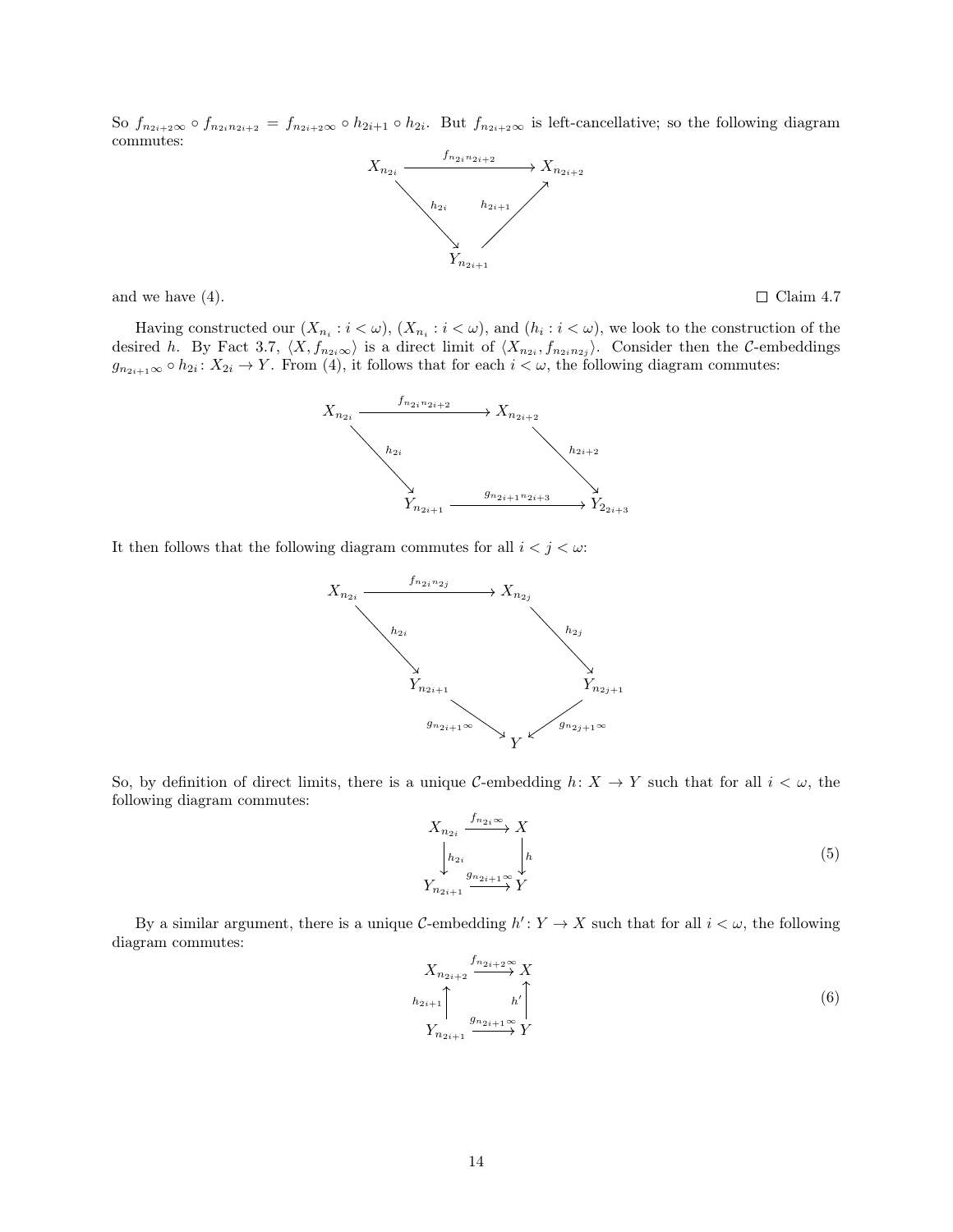So  $f_{n_{2i+2}\infty} \circ f_{n_{2i}n_{2i+2}} = f_{n_{2i+2}\infty} \circ h_{2i+1} \circ h_{2i}$ . But  $f_{n_{2i+2}\infty}$  is left-cancellative; so the following diagram commutes:



and we have [\(4\)](#page-11-1).  $\Box$  [Claim 4.7](#page-11-2)

Having constructed our  $(X_{n_i} : i < \omega)$ ,  $(X_{n_i} : i < \omega)$ , and  $(h_i : i < \omega)$ , we look to the construction of the desired h. By [Fact 3.7,](#page-4-2)  $\langle X, f_{n_{2i}\infty}\rangle$  is a direct limit of  $\langle X_{n_{2i}}, f_{n_{2i}n_{2j}}\rangle$ . Consider then the C-embeddings  $g_{n_{2i+1}\infty} \circ h_{2i} : X_{2i} \to Y$ . From [\(4\)](#page-11-1), it follows that for each  $i < \omega$ , the following diagram commutes:



It then follows that the following diagram commutes for all  $i < j < \omega$ :



So, by definition of direct limits, there is a unique C-embedding  $h: X \to Y$  such that for all  $i < \omega$ , the following diagram commutes:

<span id="page-13-0"></span>
$$
X_{n_{2i}} \xrightarrow{f_{n_{2i}\infty}} X
$$
  
\n
$$
\downarrow_{h_{2i}} \qquad \qquad \downarrow_{h}
$$
  
\n
$$
Y_{n_{2i+1}} \xrightarrow{g_{n_{2i+1}\infty}} Y
$$
  
\n(5)

By a similar argument, there is a unique C-embedding  $h' : Y \to X$  such that for all  $i < \omega$ , the following diagram commutes:

<span id="page-13-1"></span>
$$
X_{n_{2i+2}} \xrightarrow{f_{n_{2i+2}} \infty} X
$$
  
\n
$$
h_{2i+1} \uparrow \qquad h' \uparrow
$$
  
\n
$$
Y_{n_{2i+1}} \xrightarrow{g_{n_{2i+1}} \infty} Y
$$
  
\n(6)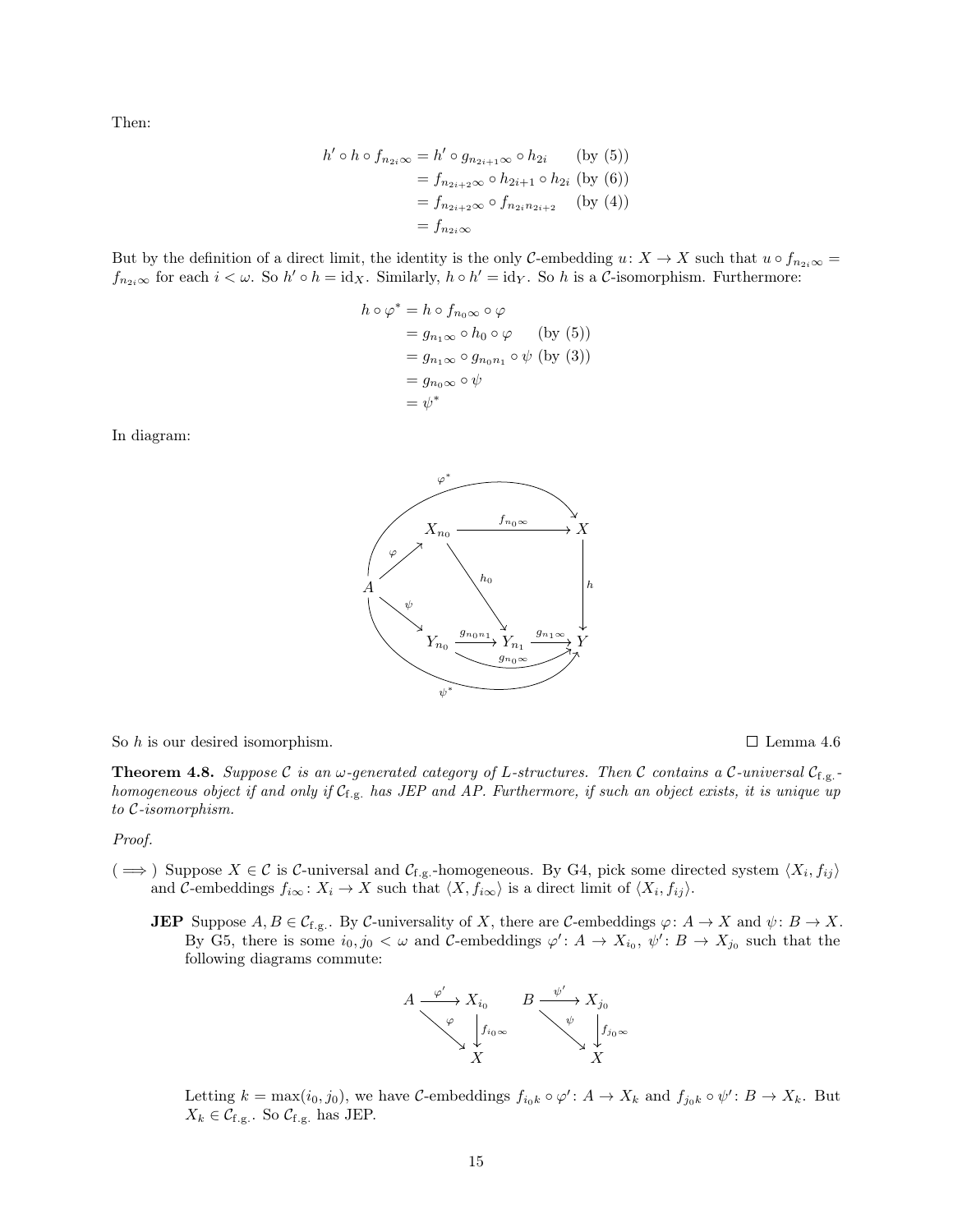Then:

$$
h' \circ h \circ f_{n_{2i}\infty} = h' \circ g_{n_{2i+1}\infty} \circ h_{2i} \qquad \text{(by (5))}
$$
  
=  $f_{n_{2i+2}\infty} \circ h_{2i+1} \circ h_{2i} \text{ (by (6))}$   
=  $f_{n_{2i+2}\infty} \circ f_{n_{2i}n_{2i+2}} \qquad \text{(by (4))}$   
=  $f_{n_{2i}\infty}$ 

But by the definition of a direct limit, the identity is the only C-embedding  $u: X \to X$  such that  $u \circ f_{n_{2i}\infty} =$  $f_{n_{2i}\infty}$  for each  $i < \omega$ . So  $h' \circ h = id_X$ . Similarly,  $h \circ h' = id_Y$ . So h is a C-isomorphism. Furthermore:

$$
h \circ \varphi^* = h \circ f_{n_0 \infty} \circ \varphi
$$
  
=  $g_{n_1 \infty} \circ h_0 \circ \varphi$  (by (5))  
=  $g_{n_1 \infty} \circ g_{n_0 n_1} \circ \psi$  (by (3))  
=  $g_{n_0 \infty} \circ \psi$   
=  $\psi^*$ 

In diagram:



So h is our desired isomorphism.  $\Box$  [Lemma 4.6](#page-10-0)

<span id="page-14-0"></span>**Theorem 4.8.** Suppose C is an  $\omega$ -generated category of L-structures. Then C contains a C-universal  $C_{f,g}$ . *homogeneous object if and only if* Cf.g. *has JEP and AP. Furthermore, if such an object exists, it is unique up to* C*-isomorphism.*

#### *Proof.*

- (  $\implies$  ) Suppose  $X \in \mathcal{C}$  is  $\mathcal{C}\text{-universal}$  and  $\mathcal{C}_{f,g}$ -homogeneous. By G4, pick some directed system  $\langle X_i, f_{ij} \rangle$ and C-embeddings  $f_{i\infty} : X_i \to X$  such that  $\langle X, f_{i\infty} \rangle$  is a direct limit of  $\langle X_i, f_{ij} \rangle$ .
	- **JEP** Suppose  $A, B \in \mathcal{C}_{f,g}$ . By  $\mathcal{C}$ -universality of X, there are  $\mathcal{C}$ -embeddings  $\varphi: A \to X$  and  $\psi: B \to X$ . By G5, there is some  $i_0, j_0 < \omega$  and C-embeddings  $\varphi' : A \to X_{i_0}, \psi' : B \to X_{j_0}$  such that the following diagrams commute:



Letting  $k = \max(i_0, j_0)$ , we have C-embeddings  $f_{i_0k} \circ \varphi' : A \to X_k$  and  $f_{j_0k} \circ \psi' : B \to X_k$ . But  $X_k \in \mathcal{C}_{f.g.}$ . So  $\mathcal{C}_{f.g.}$  has JEP.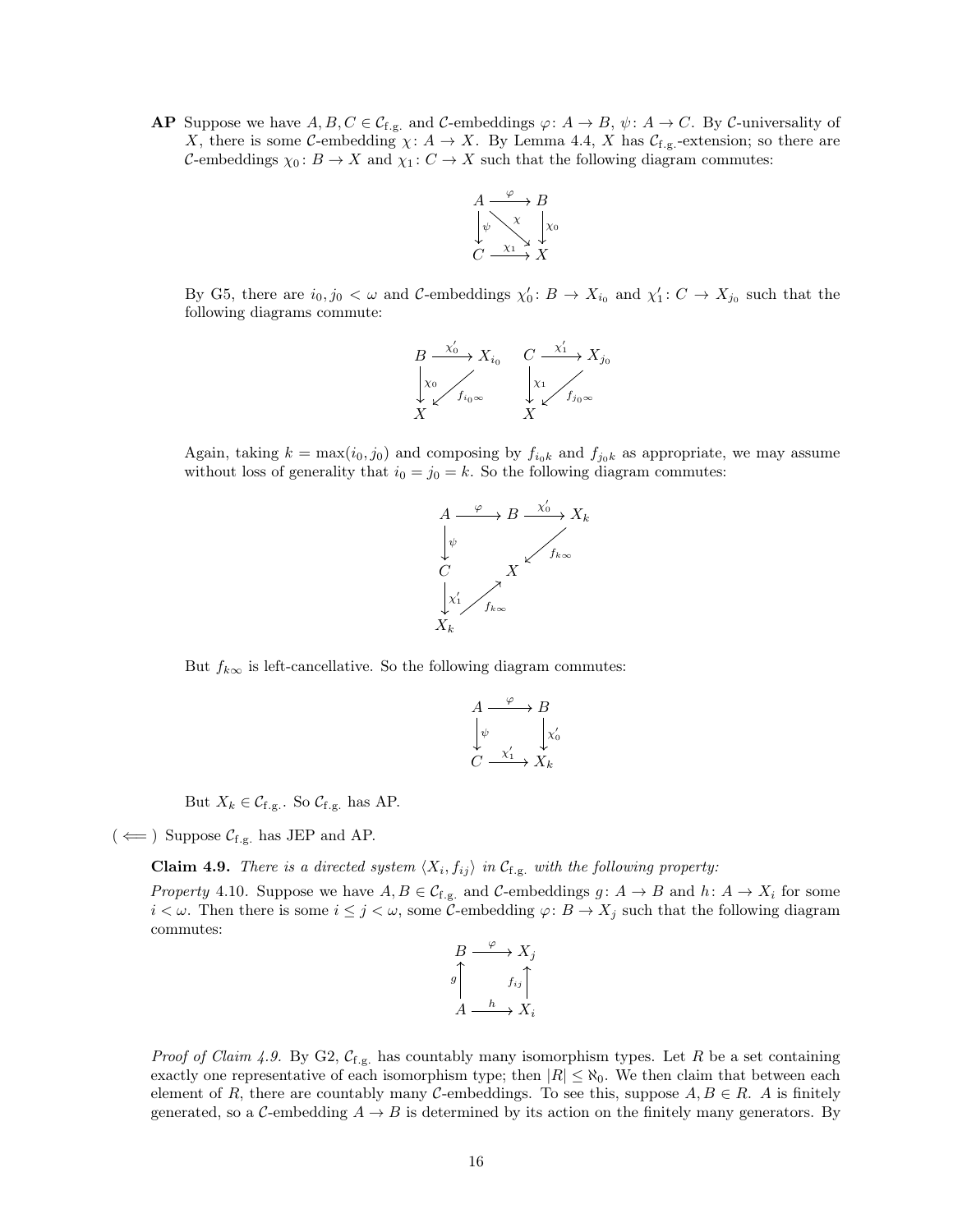**AP** Suppose we have  $A, B, C \in \mathcal{C}_{f,g}$  and  $\mathcal{C}$ -embeddings  $\varphi \colon A \to B$ ,  $\psi \colon A \to C$ . By  $\mathcal{C}$ -universality of X, there is some C-embedding  $\chi: A \to X$ . By [Lemma 4.4,](#page-9-0) X has  $\mathcal{C}_{f,g}$ -extension; so there are C-embeddings  $\chi_0: B \to X$  and  $\chi_1: C \to X$  such that the following diagram commutes:



By G5, there are  $i_0, j_0 < \omega$  and C-embeddings  $\chi'_0: B \to X_{i_0}$  and  $\chi'_1: C \to X_{j_0}$  such that the following diagrams commute:

$$
\begin{array}{ccc}\nB & \xrightarrow{\chi_0'} & X_{i_0} & C & \xrightarrow{\chi_1'} & X_{j_0} \\
\downarrow x_0 & & \downarrow x_1 & \\
X & & X & & \\
X & & & X\n\end{array}
$$

Again, taking  $k = \max(i_0, j_0)$  and composing by  $f_{i_0k}$  and  $f_{j_0k}$  as appropriate, we may assume without loss of generality that  $i_0 = j_0 = k$ . So the following diagram commutes:



But  $f_{k\infty}$  is left-cancellative. So the following diagram commutes:

$$
A \xrightarrow{\varphi} B
$$
  
\n
$$
\downarrow^{\psi} \qquad \qquad \downarrow^{\chi'_0}
$$
  
\n
$$
C \xrightarrow{\chi'_1} X_k
$$

But  $X_k \in \mathcal{C}_{f.g.}$ . So  $\mathcal{C}_{f.g.}$  has AP.

<span id="page-15-0"></span> $(\Leftarrow)$  Suppose  $\mathcal{C}_{f.g.}$  has JEP and AP.

**Claim 4.9.** *There is a directed system*  $\langle X_i, f_{ij} \rangle$  *in*  $\mathcal{C}_{f,g.}$  *with the following property:* 

<span id="page-15-1"></span>*Property* 4.10. Suppose we have  $A, B \in \mathcal{C}_{f,g.}$  and  $\mathcal{C}$ -embeddings  $g: A \to B$  and  $h: A \to X_i$  for some  $i < \omega$ . Then there is some  $i \leq j < \omega$ , some C-embedding  $\varphi: B \to X_j$  such that the following diagram commutes:



*Proof of [Claim 4.9.](#page-15-0)* By G2,  $\mathcal{C}_{f,g.}$  has countably many isomorphism types. Let R be a set containing exactly one representative of each isomorphism type; then  $|R| \leq \aleph_0$ . We then claim that between each element of R, there are countably many C-embeddings. To see this, suppose  $A, B \in \mathbb{R}$ . A is finitely generated, so a C-embedding  $A \rightarrow B$  is determined by its action on the finitely many generators. By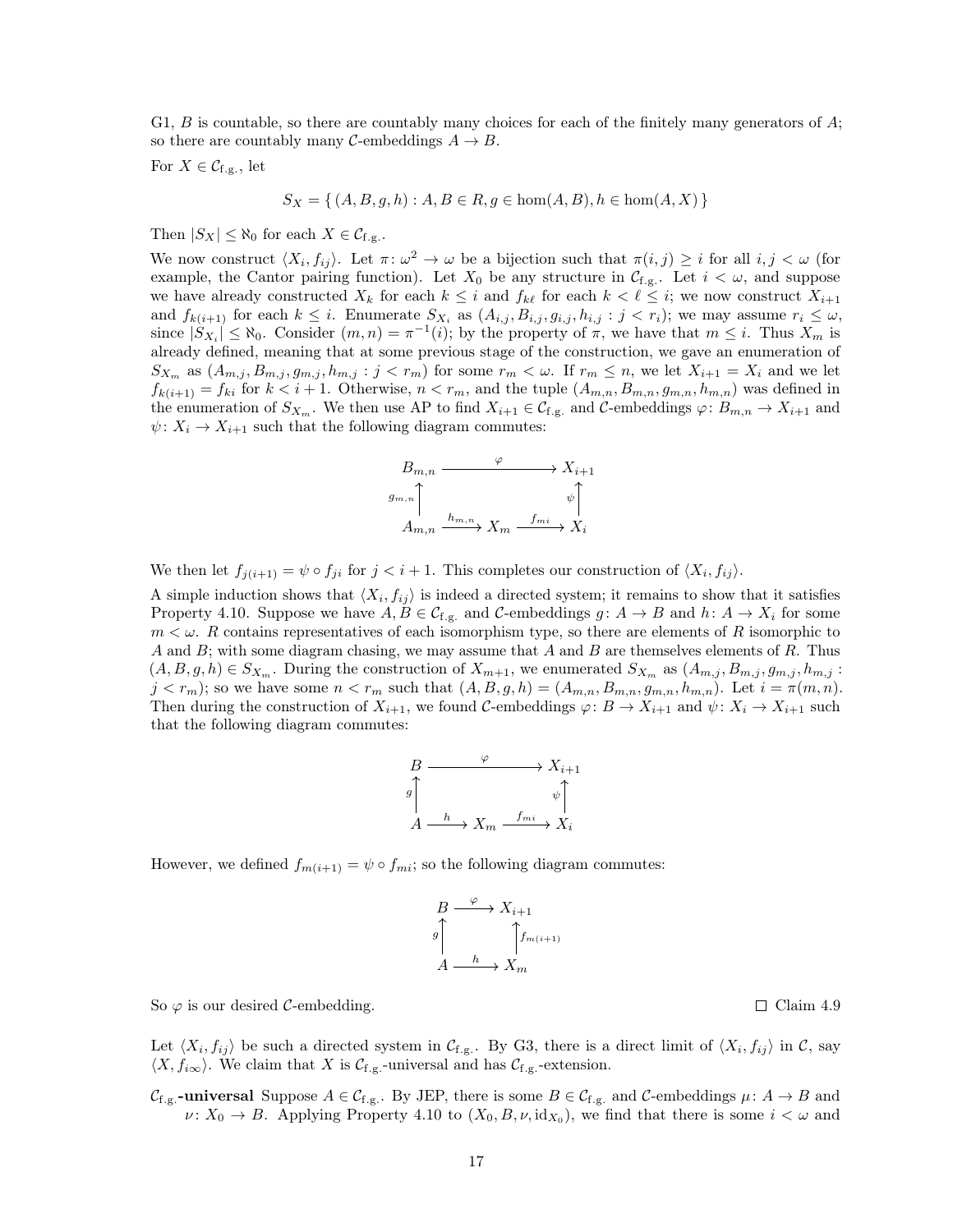G1, B is countable, so there are countably many choices for each of the finitely many generators of  $A$ ; so there are countably many  $\mathcal{C}$ -embeddings  $A \to B$ .

For  $X \in \mathcal{C}_{f,g}$ , let

$$
S_X = \{ (A, B, g, h) : A, B \in R, g \in \text{hom}(A, B), h \in \text{hom}(A, X) \}
$$

Then  $|S_X| \leq \aleph_0$  for each  $X \in \mathcal{C}_{f,g}$ .

We now construct  $\langle X_i, f_{ij} \rangle$ . Let  $\pi \colon \omega^2 \to \omega$  be a bijection such that  $\pi(i, j) \geq i$  for all  $i, j < \omega$  (for example, the Cantor pairing function). Let  $X_0$  be any structure in  $\mathcal{C}_{f,g}$ . Let  $i < \omega$ , and suppose we have already constructed  $X_k$  for each  $k \leq i$  and  $f_{k\ell}$  for each  $k < \ell \leq i$ ; we now construct  $X_{i+1}$ and  $f_{k(i+1)}$  for each  $k \leq i$ . Enumerate  $S_{X_i}$  as  $(A_{i,j}, B_{i,j}, g_{i,j}, h_{i,j} : j < r_i)$ ; we may assume  $r_i \leq \omega$ , since  $|S_{X_i}| \leq \aleph_0$ . Consider  $(m, n) = \pi^{-1}(i)$ ; by the property of  $\pi$ , we have that  $m \leq i$ . Thus  $X_m$  is already defined, meaning that at some previous stage of the construction, we gave an enumeration of  $S_{X_m}$  as  $(A_{m,j}, B_{m,j}, g_{m,j}, h_{m,j} : j < r_m)$  for some  $r_m < \omega$ . If  $r_m \leq n$ , we let  $X_{i+1} = X_i$  and we let  $f_{k(i+1)} = f_{ki}$  for  $k < i + 1$ . Otherwise,  $n < r_m$ , and the tuple  $(A_{m,n}, B_{m,n}, g_{m,n}, h_{m,n})$  was defined in the enumeration of  $S_{X_m}$ . We then use AP to find  $X_{i+1} \in C_{f,g}$  and C-embeddings  $\varphi: B_{m,n} \to X_{i+1}$  and  $\psi: X_i \to X_{i+1}$  such that the following diagram commutes:



We then let  $f_{j(i+1)} = \psi \circ f_{ji}$  for  $j < i + 1$ . This completes our construction of  $\langle X_i, f_{ij} \rangle$ .

A simple induction shows that  $\langle X_i, f_{ij} \rangle$  is indeed a directed system; it remains to show that it satisfies [Property 4.10.](#page-15-1) Suppose we have  $A, B \in \mathcal{C}_{f,g.}$  and  $\mathcal{C}\text{-embeddings } g: A \to B$  and  $h: A \to X_i$  for some  $m < \omega$ . R contains representatives of each isomorphism type, so there are elements of R isomorphic to A and B; with some diagram chasing, we may assume that A and B are themselves elements of R. Thus  $(A, B, g, h) \in S_{X_m}$ . During the construction of  $X_{m+1}$ , we enumerated  $S_{X_m}$  as  $(A_{m,j}, B_{m,j}, g_{m,j}, h_{m,j}$ :  $j < r_m$ ); so we have some  $n < r_m$  such that  $(A, B, g, h) = (A_{m,n}, B_{m,n}, g_{m,n}, h_{m,n})$ . Let  $i = \pi(m, n)$ . Then during the construction of  $X_{i+1}$ , we found C-embeddings  $\varphi: B \to X_{i+1}$  and  $\psi: X_i \to X_{i+1}$  such that the following diagram commutes:

$$
\begin{array}{ccc}\nB & \xrightarrow{\varphi} & X_{i+1} \\
\downarrow{\mathcal{G}} & & \psi \\
A & \xrightarrow{h} & X_m \xrightarrow{f_{mi}} & X_i\n\end{array}
$$

However, we defined  $f_{m(i+1)} = \psi \circ f_{mi}$ ; so the following diagram commutes:

$$
B \xrightarrow{\varphi} X_{i+1}
$$
  

$$
g \uparrow^{\uparrow} f_{m(i+1)}
$$
  

$$
A \xrightarrow{h} X_m
$$

So  $\varphi$  is our desired C-embedding.  $\Box$  [Claim 4.9](#page-15-0)

Let  $\langle X_i, f_{ij} \rangle$  be such a directed system in  $\mathcal{C}_{f,g}$ . By G3, there is a direct limit of  $\langle X_i, f_{ij} \rangle$  in  $\mathcal{C}$ , say  $\langle X, f_{i\infty}\rangle$ . We claim that X is  $\mathcal{C}_{f,g}$ -universal and has  $\mathcal{C}_{f,g}$ -extension.

 $\mathcal{C}_{f,g}$ -universal Suppose  $A \in \mathcal{C}_{f,g}$ . By JEP, there is some  $B \in \mathcal{C}_{f,g}$  and  $\mathcal{C}$ -embeddings  $\mu: A \to B$  and  $\nu: X_0 \to B$ . Applying [Property 4.10](#page-15-1) to  $(X_0, B, \nu, id_{X_0})$ , we find that there is some  $i < \omega$  and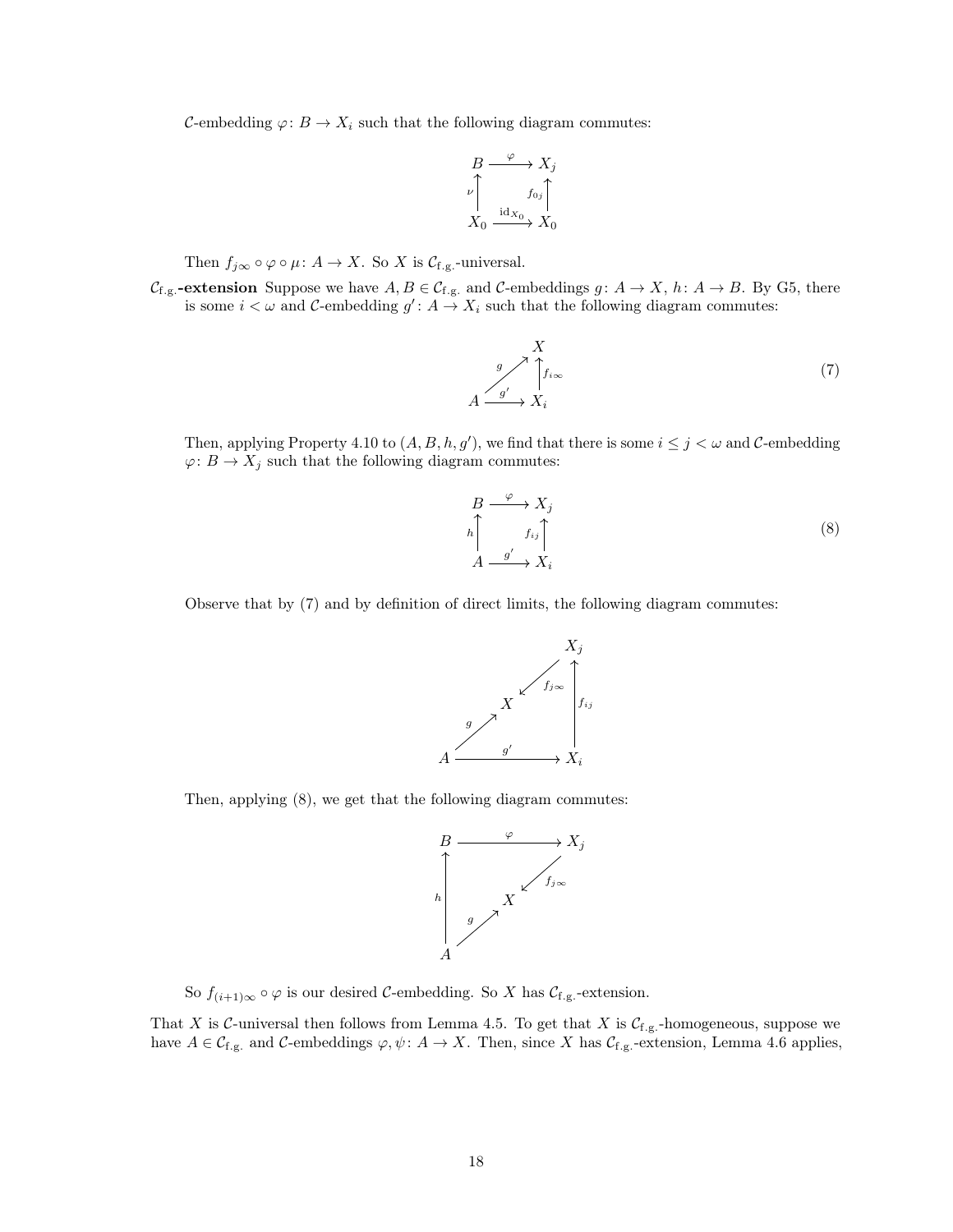C-embedding  $\varphi: B \to X_i$  such that the following diagram commutes:

$$
B \xrightarrow{\varphi} X_j
$$
  
\n
$$
\downarrow^{\mathcal{P}} \qquad f_{0j} \uparrow^{\mathcal{P}} \downarrow^{\mathcal{P}} \downarrow^{\mathcal{P}} \downarrow^{\mathcal{P}} \downarrow^{\mathcal{P}} \downarrow^{\mathcal{P}} \downarrow^{\mathcal{P}} \downarrow^{\mathcal{P}} \downarrow^{\mathcal{P}} \downarrow^{\mathcal{P}} \downarrow^{\mathcal{P}} \downarrow^{\mathcal{P}} \downarrow^{\mathcal{P}} \downarrow^{\mathcal{P}} \downarrow^{\mathcal{P}} \downarrow^{\mathcal{P}} \downarrow^{\mathcal{P}} \downarrow^{\mathcal{P}} \downarrow^{\mathcal{P}} \downarrow^{\mathcal{P}} \downarrow^{\mathcal{P}} \downarrow^{\mathcal{P}} \downarrow^{\mathcal{P}} \downarrow^{\mathcal{P}} \downarrow^{\mathcal{P}} \downarrow^{\mathcal{P}} \downarrow^{\mathcal{P}} \downarrow^{\mathcal{P}} \downarrow^{\mathcal{P}} \downarrow^{\mathcal{P}} \downarrow^{\mathcal{P}} \downarrow^{\mathcal{P}} \downarrow^{\mathcal{P}} \downarrow^{\mathcal{P}} \downarrow^{\mathcal{P}} \downarrow^{\mathcal{P}} \downarrow^{\mathcal{P}} \downarrow^{\mathcal{P}} \downarrow^{\mathcal{P}} \downarrow^{\mathcal{P}} \downarrow^{\mathcal{P}} \downarrow^{\mathcal{P}} \downarrow^{\mathcal{P}} \downarrow^{\mathcal{P}} \downarrow^{\mathcal{P}} \downarrow^{\mathcal{P}} \downarrow^{\mathcal{P}} \downarrow^{\mathcal{P}} \downarrow^{\mathcal{P}} \downarrow^{\mathcal{P}} \downarrow^{\mathcal{P}} \downarrow^{\mathcal{P}} \downarrow^{\mathcal{P}} \downarrow^{\mathcal{P}} \downarrow^{\mathcal{P}} \downarrow^{\mathcal{P}} \downarrow^{\mathcal{P}} \downarrow^{\mathcal{P}} \downarrow^{\mathcal{P}} \downarrow^{\mathcal{P}} \downarrow^{\mathcal{P}} \downarrow^{\mathcal{P}} \downarrow^{\mathcal{P}} \downarrow^{\mathcal{P}} \downarrow^{\mathcal{P}} \downarrow^{\mathcal{P}} \downarrow^{\mathcal{P}} \downarrow^{\mathcal{P}} \downarrow^{\mathcal{P}} \downarrow^{\mathcal{P}} \downarrow^{\mathcal{P}} \downarrow^{\mathcal{P}}
$$

Then  $f_{j\infty} \circ \varphi \circ \mu \colon A \to X$ . So X is  $\mathcal{C}_{f,g}$ -universal.

 $\mathcal{C}_{f,g}$ -extension Suppose we have  $A, B \in \mathcal{C}_{f,g}$  and  $\mathcal{C}$ -embeddings  $g: A \to X$ ,  $h: A \to B$ . By G5, there is some  $i < \omega$  and C-embedding  $g' : A \to X_i$  such that the following diagram commutes:

<span id="page-17-0"></span>
$$
A \xrightarrow{g'} \uparrow f_{i\infty} f_{i\infty}
$$
\n
$$
A \xrightarrow{g'} X_i
$$
\n(7)

Then, applying [Property 4.10](#page-15-1) to  $(A, B, h, g')$ , we find that there is some  $i \leq j < \omega$  and C-embedding  $\varphi\colon B\to X_j$  such that the following diagram commutes:

<span id="page-17-1"></span>

Observe that by [\(7\)](#page-17-0) and by definition of direct limits, the following diagram commutes:



Then, applying [\(8\)](#page-17-1), we get that the following diagram commutes:



So  $f_{(i+1)\infty} \circ \varphi$  is our desired C-embedding. So X has  $\mathcal{C}_{f,g}$ -extension.

That X is C-universal then follows from [Lemma 4.5.](#page-10-1) To get that X is  $C_{f,g}$ -homogeneous, suppose we have  $A \in \mathcal{C}_{f,g.}$  and  $\mathcal{C}\text{-embeddings } \varphi, \psi: A \to X$ . Then, since X has  $\mathcal{C}_{f,g.}$ -extension, [Lemma 4.6](#page-10-0) applies,